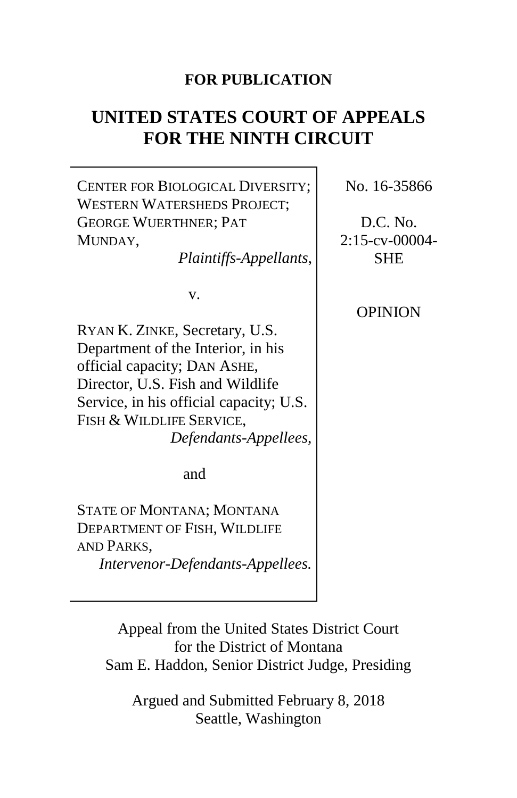### **FOR PUBLICATION**

# **UNITED STATES COURT OF APPEALS FOR THE NINTH CIRCUIT**

CENTER FOR BIOLOGICAL DIVERSITY; WESTERN WATERSHEDS PROJECT; GEORGE WUERTHNER; PAT MUNDAY, *Plaintiffs-Appellants*, v. RYAN K. ZINKE, Secretary, U.S. Department of the Interior, in his official capacity; DAN ASHE, Director, U.S. Fish and Wildlife Service, in his official capacity; U.S. FISH & WILDLIFE SERVICE, *Defendants-Appellees*, and STATE OF MONTANA; MONTANA DEPARTMENT OF FISH, WILDLIFE AND PARKS, *Intervenor-Defendants-Appellees.* No. 16-35866 D.C. No. 2:15-cv-00004- **SHE** OPINION

Appeal from the United States District Court for the District of Montana Sam E. Haddon, Senior District Judge, Presiding

Argued and Submitted February 8, 2018 Seattle, Washington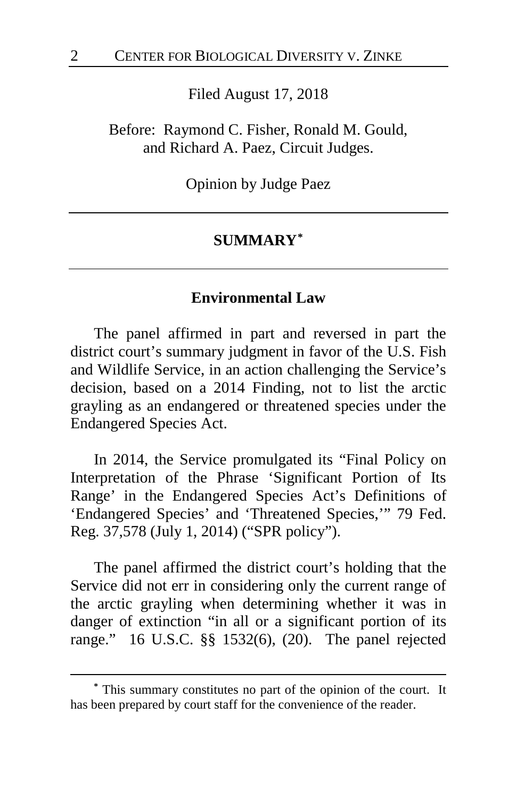Filed August 17, 2018

Before: Raymond C. Fisher, Ronald M. Gould, and Richard A. Paez, Circuit Judges.

Opinion by Judge Paez

### **SUMMARY[\\*](#page-1-0)**

### **Environmental Law**

The panel affirmed in part and reversed in part the district court's summary judgment in favor of the U.S. Fish and Wildlife Service, in an action challenging the Service's decision, based on a 2014 Finding, not to list the arctic grayling as an endangered or threatened species under the Endangered Species Act.

In 2014, the Service promulgated its "Final Policy on Interpretation of the Phrase 'Significant Portion of Its Range' in the Endangered Species Act's Definitions of 'Endangered Species' and 'Threatened Species,'" 79 Fed. Reg. 37,578 (July 1, 2014) ("SPR policy").

The panel affirmed the district court's holding that the Service did not err in considering only the current range of the arctic grayling when determining whether it was in danger of extinction "in all or a significant portion of its range." 16 U.S.C. §§ 1532(6), (20). The panel rejected

<span id="page-1-0"></span>**<sup>\*</sup>** This summary constitutes no part of the opinion of the court. It has been prepared by court staff for the convenience of the reader.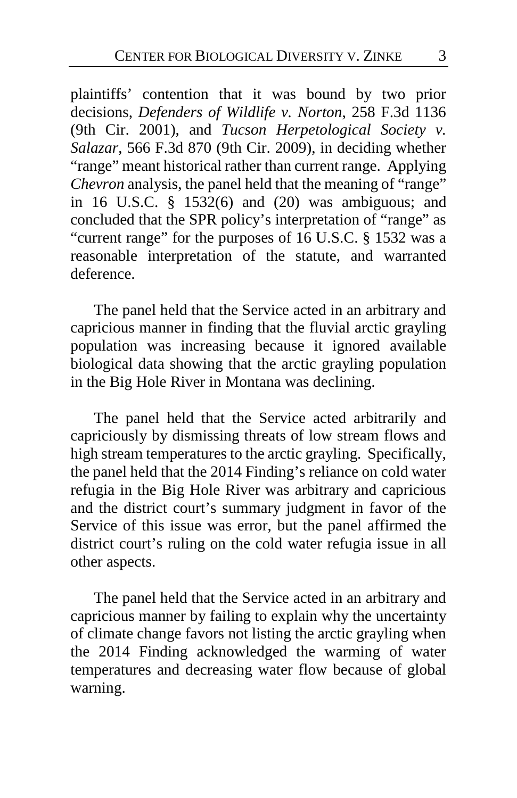plaintiffs' contention that it was bound by two prior decisions, *Defenders of Wildlife v. Norton*, 258 F.3d 1136 (9th Cir. 2001), and *Tucson Herpetological Society v. Salazar*, 566 F.3d 870 (9th Cir. 2009), in deciding whether "range" meant historical rather than current range. Applying *Chevron* analysis, the panel held that the meaning of "range" in 16 U.S.C. § 1532(6) and (20) was ambiguous; and concluded that the SPR policy's interpretation of "range" as "current range" for the purposes of 16 U.S.C. § 1532 was a reasonable interpretation of the statute, and warranted deference.

The panel held that the Service acted in an arbitrary and capricious manner in finding that the fluvial arctic grayling population was increasing because it ignored available biological data showing that the arctic grayling population in the Big Hole River in Montana was declining.

The panel held that the Service acted arbitrarily and capriciously by dismissing threats of low stream flows and high stream temperatures to the arctic grayling. Specifically, the panel held that the 2014 Finding's reliance on cold water refugia in the Big Hole River was arbitrary and capricious and the district court's summary judgment in favor of the Service of this issue was error, but the panel affirmed the district court's ruling on the cold water refugia issue in all other aspects.

The panel held that the Service acted in an arbitrary and capricious manner by failing to explain why the uncertainty of climate change favors not listing the arctic grayling when the 2014 Finding acknowledged the warming of water temperatures and decreasing water flow because of global warning.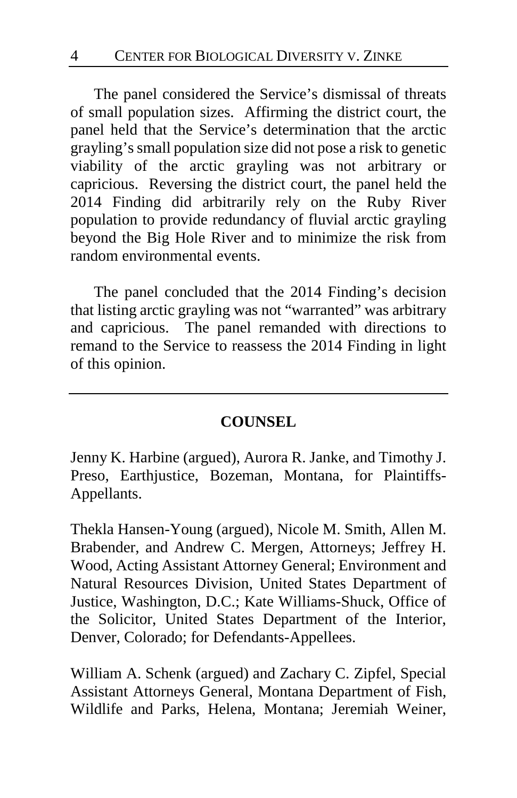The panel considered the Service's dismissal of threats of small population sizes. Affirming the district court, the panel held that the Service's determination that the arctic grayling's small population size did not pose a risk to genetic viability of the arctic grayling was not arbitrary or capricious. Reversing the district court, the panel held the 2014 Finding did arbitrarily rely on the Ruby River population to provide redundancy of fluvial arctic grayling beyond the Big Hole River and to minimize the risk from random environmental events.

The panel concluded that the 2014 Finding's decision that listing arctic grayling was not "warranted" was arbitrary and capricious. The panel remanded with directions to remand to the Service to reassess the 2014 Finding in light of this opinion.

### **COUNSEL**

Jenny K. Harbine (argued), Aurora R. Janke, and Timothy J. Preso, Earthjustice, Bozeman, Montana, for Plaintiffs-Appellants.

Thekla Hansen-Young (argued), Nicole M. Smith, Allen M. Brabender, and Andrew C. Mergen, Attorneys; Jeffrey H. Wood, Acting Assistant Attorney General; Environment and Natural Resources Division, United States Department of Justice, Washington, D.C.; Kate Williams-Shuck, Office of the Solicitor, United States Department of the Interior, Denver, Colorado; for Defendants-Appellees.

William A. Schenk (argued) and Zachary C. Zipfel, Special Assistant Attorneys General, Montana Department of Fish, Wildlife and Parks, Helena, Montana; Jeremiah Weiner,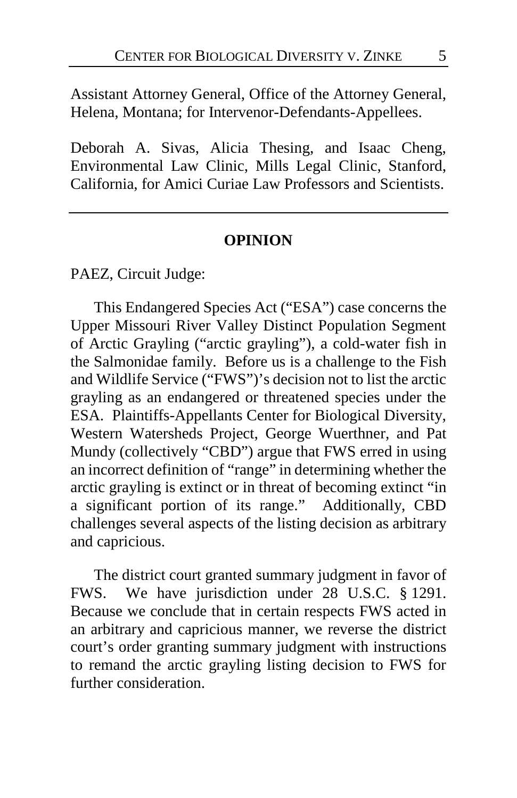Assistant Attorney General, Office of the Attorney General, Helena, Montana; for Intervenor-Defendants-Appellees.

Deborah A. Sivas, Alicia Thesing, and Isaac Cheng, Environmental Law Clinic, Mills Legal Clinic, Stanford, California, for Amici Curiae Law Professors and Scientists.

#### **OPINION**

PAEZ, Circuit Judge:

This Endangered Species Act ("ESA") case concerns the Upper Missouri River Valley Distinct Population Segment of Arctic Grayling ("arctic grayling"), a cold-water fish in the Salmonidae family. Before us is a challenge to the Fish and Wildlife Service ("FWS")'s decision not to list the arctic grayling as an endangered or threatened species under the ESA. Plaintiffs-Appellants Center for Biological Diversity, Western Watersheds Project, George Wuerthner, and Pat Mundy (collectively "CBD") argue that FWS erred in using an incorrect definition of "range" in determining whether the arctic grayling is extinct or in threat of becoming extinct "in a significant portion of its range." Additionally, CBD challenges several aspects of the listing decision as arbitrary and capricious.

The district court granted summary judgment in favor of FWS. We have jurisdiction under 28 U.S.C. § 1291. Because we conclude that in certain respects FWS acted in an arbitrary and capricious manner, we reverse the district court's order granting summary judgment with instructions to remand the arctic grayling listing decision to FWS for further consideration.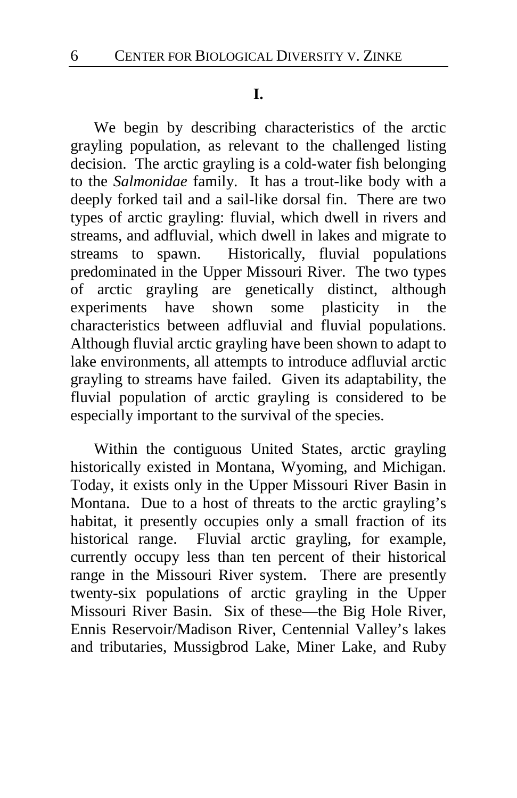#### **I.**

We begin by describing characteristics of the arctic grayling population, as relevant to the challenged listing decision. The arctic grayling is a cold-water fish belonging to the *Salmonidae* family.It has a trout-like body with a deeply forked tail and a sail-like dorsal fin. There are two types of arctic grayling: fluvial, which dwell in rivers and streams, and adfluvial, which dwell in lakes and migrate to streams to spawn.Historically, fluvial populations predominated in the Upper Missouri River.The two types of arctic grayling are genetically distinct, although experiments have shown some plasticity in the characteristics between adfluvial and fluvial populations. Although fluvial arctic grayling have been shown to adapt to lake environments, all attempts to introduce adfluvial arctic grayling to streams have failed. Given its adaptability, the fluvial population of arctic grayling is considered to be especially important to the survival of the species.

Within the contiguous United States, arctic grayling historically existed in Montana, Wyoming, and Michigan. Today, it exists only in the Upper Missouri River Basin in Montana.Due to a host of threats to the arctic grayling's habitat, it presently occupies only a small fraction of its historical range. Fluvial arctic grayling, for example, currently occupy less than ten percent of their historical range in the Missouri River system.There are presently twenty-six populations of arctic grayling in the Upper Missouri River Basin.Six of these—the Big Hole River, Ennis Reservoir/Madison River, Centennial Valley's lakes and tributaries, Mussigbrod Lake, Miner Lake, and Ruby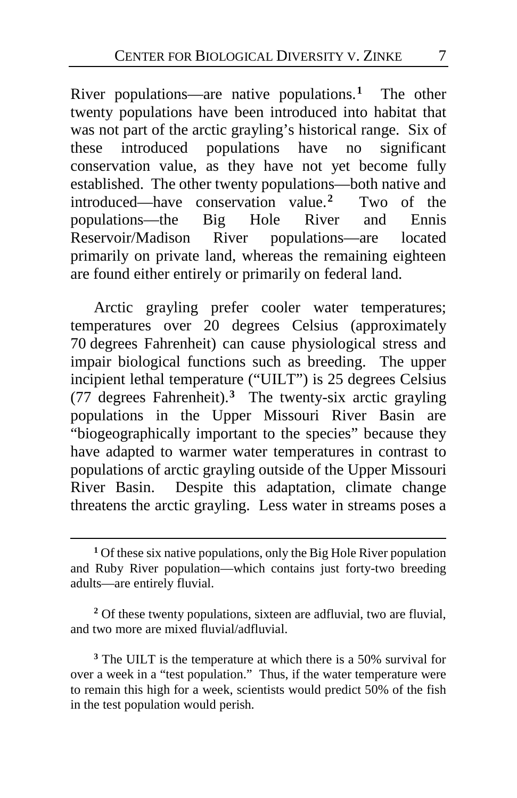River populations—are native populations.**[1](#page-6-0)** The other twenty populations have been introduced into habitat that was not part of the arctic grayling's historical range.Six of these introduced populations have no significant conservation value, as they have not yet become fully established.The other twenty populations—both native and introduced—have conservation value.**[2](#page-6-1)** Two of the populations—the Big Hole River and Ennis<br>Reservoir/Madison River populations—are located Reservoir/Madison River populations—are located primarily on private land, whereas the remaining eighteen are found either entirely or primarily on federal land.

Arctic grayling prefer cooler water temperatures; temperatures over 20 degrees Celsius (approximately 70 degrees Fahrenheit) can cause physiological stress and impair biological functions such as breeding. The upper incipient lethal temperature ("UILT") is 25 degrees Celsius (77 degrees Fahrenheit).**[3](#page-6-2)** The twenty-six arctic grayling populations in the Upper Missouri River Basin are "biogeographically important to the species" because they have adapted to warmer water temperatures in contrast to populations of arctic grayling outside of the Upper Missouri River Basin.Despite this adaptation, climate change threatens the arctic grayling. Less water in streams poses a

 $\overline{a}$ 

<span id="page-6-1"></span>**<sup>2</sup>** Of these twenty populations, sixteen are adfluvial, two are fluvial, and two more are mixed fluvial/adfluvial.

<span id="page-6-2"></span>**<sup>3</sup>** The UILT is the temperature at which there is a 50% survival for over a week in a "test population." Thus, if the water temperature were to remain this high for a week, scientists would predict 50% of the fish in the test population would perish.

<span id="page-6-0"></span>**<sup>1</sup>** Of these six native populations, only the Big Hole River population and Ruby River population—which contains just forty-two breeding adults—are entirely fluvial.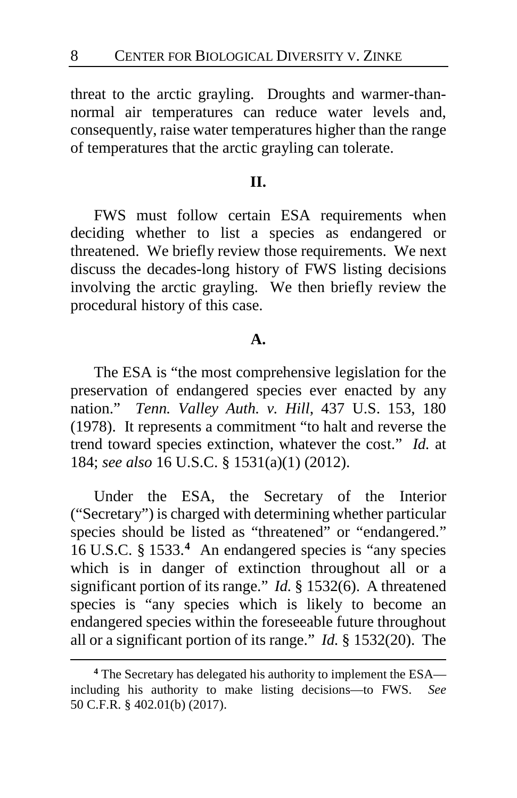threat to the arctic grayling.Droughts and warmer-thannormal air temperatures can reduce water levels and, consequently, raise water temperatures higher than the range of temperatures that the arctic grayling can tolerate.

### **II.**

FWS must follow certain ESA requirements when deciding whether to list a species as endangered or threatened. We briefly review those requirements. We next discuss the decades-long history of FWS listing decisions involving the arctic grayling. We then briefly review the procedural history of this case.

### **A.**

The ESA is "the most comprehensive legislation for the preservation of endangered species ever enacted by any nation." *Tenn. Valley Auth. v. Hill*, 437 U.S. 153, 180 (1978). It represents a commitment "to halt and reverse the trend toward species extinction, whatever the cost." *Id.* at 184; *see also* 16 U.S.C. § 1531(a)(1) (2012).

Under the ESA, the Secretary of the Interior ("Secretary") is charged with determining whether particular species should be listed as "threatened" or "endangered." 16 U.S.C. § 1533.**[4](#page-7-0)** An endangered species is "any species which is in danger of extinction throughout all or a significant portion of its range." *Id.* § 1532(6). A threatened species is "any species which is likely to become an endangered species within the foreseeable future throughout all or a significant portion of its range." *Id.* § 1532(20). The

<span id="page-7-0"></span>**<sup>4</sup>** The Secretary has delegated his authority to implement the ESA including his authority to make listing decisions—to FWS. *See*  50 C.F.R. § 402.01(b) (2017).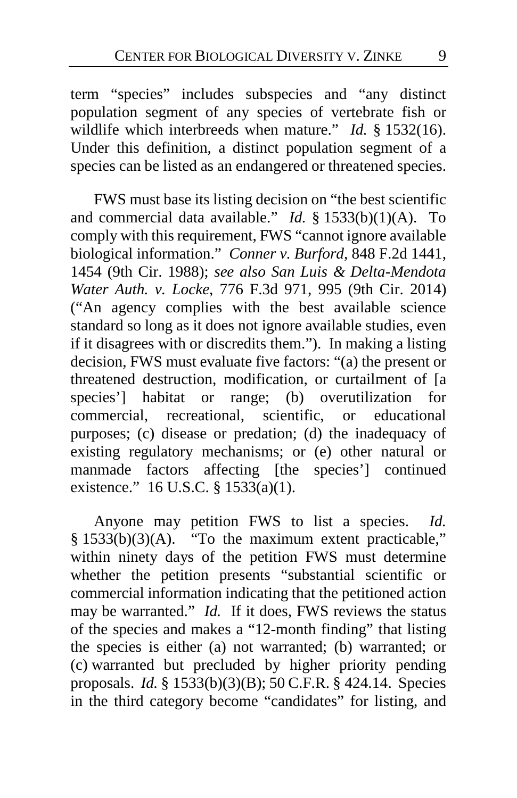term "species" includes subspecies and "any distinct population segment of any species of vertebrate fish or wildlife which interbreeds when mature." *Id.* § 1532(16). Under this definition, a distinct population segment of a species can be listed as an endangered or threatened species.

FWS must base its listing decision on "the best scientific and commercial data available." *Id.* § 1533(b)(1)(A). To comply with this requirement, FWS "cannot ignore available biological information." *Conner v. Burford*, 848 F.2d 1441, 1454 (9th Cir. 1988); *see also San Luis & Delta-Mendota Water Auth. v. Locke*, 776 F.3d 971, 995 (9th Cir. 2014) ("An agency complies with the best available science standard so long as it does not ignore available studies, even if it disagrees with or discredits them."). In making a listing decision, FWS must evaluate five factors: "(a) the present or threatened destruction, modification, or curtailment of [a species'] habitat or range; (b) overutilization for commercial, recreational, scientific, or educational purposes; (c) disease or predation; (d) the inadequacy of existing regulatory mechanisms; or (e) other natural or manmade factors affecting [the species'] continued existence." 16 U.S.C. § 1533(a)(1).

Anyone may petition FWS to list a species. *Id.*   $§$  1533(b)(3)(A). "To the maximum extent practicable," within ninety days of the petition FWS must determine whether the petition presents "substantial scientific or commercial information indicating that the petitioned action may be warranted." *Id.* If it does, FWS reviews the status of the species and makes a "12-month finding" that listing the species is either (a) not warranted; (b) warranted; or (c) warranted but precluded by higher priority pending proposals. *Id.* § 1533(b)(3)(B); 50 C.F.R. § 424.14. Species in the third category become "candidates" for listing, and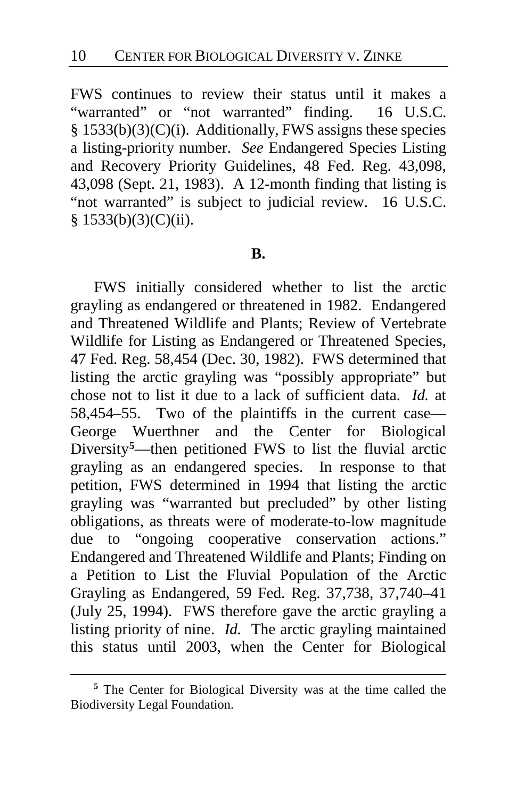FWS continues to review their status until it makes a "warranted" or "not warranted" finding. 16 U.S.C. § 1533(b)(3)(C)(i). Additionally, FWS assigns these species a listing-priority number. *See* Endangered Species Listing and Recovery Priority Guidelines, 48 Fed. Reg. 43,098, 43,098 (Sept. 21, 1983). A 12-month finding that listing is "not warranted" is subject to judicial review. 16 U.S.C.  $§ 1533(b)(3)(C)(ii).$ 

#### **B.**

FWS initially considered whether to list the arctic grayling as endangered or threatened in 1982. Endangered and Threatened Wildlife and Plants; Review of Vertebrate Wildlife for Listing as Endangered or Threatened Species, 47 Fed. Reg. 58,454 (Dec. 30, 1982).FWS determined that listing the arctic grayling was "possibly appropriate" but chose not to list it due to a lack of sufficient data. *Id.* at 58,454–55.Two of the plaintiffs in the current case— George Wuerthner and the Center for Biological Diversity**[5](#page-9-0)**—then petitioned FWS to list the fluvial arctic grayling as an endangered species.In response to that petition, FWS determined in 1994 that listing the arctic grayling was "warranted but precluded" by other listing obligations, as threats were of moderate-to-low magnitude due to "ongoing cooperative conservation actions." Endangered and Threatened Wildlife and Plants; Finding on a Petition to List the Fluvial Population of the Arctic Grayling as Endangered, 59 Fed. Reg. 37,738, 37,740–41 (July 25, 1994). FWS therefore gave the arctic grayling a listing priority of nine. *Id.* The arctic grayling maintained this status until 2003, when the Center for Biological

<span id="page-9-0"></span>**<sup>5</sup>** The Center for Biological Diversity was at the time called the Biodiversity Legal Foundation.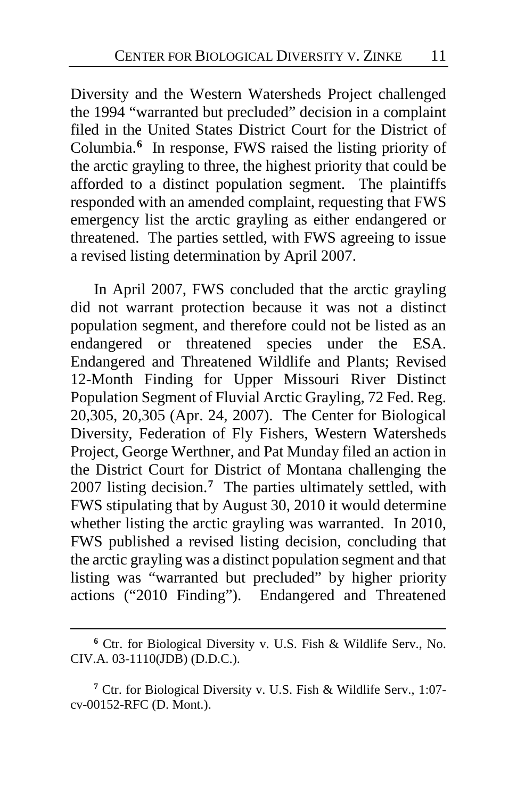Diversity and the Western Watersheds Project challenged the 1994 "warranted but precluded" decision in a complaint filed in the United States District Court for the District of Columbia.**[6](#page-10-0)** In response, FWS raised the listing priority of the arctic grayling to three, the highest priority that could be afforded to a distinct population segment.The plaintiffs responded with an amended complaint, requesting that FWS emergency list the arctic grayling as either endangered or threatened. The parties settled, with FWS agreeing to issue a revised listing determination by April 2007.

In April 2007, FWS concluded that the arctic grayling did not warrant protection because it was not a distinct population segment, and therefore could not be listed as an endangered or threatened species under the ESA. Endangered and Threatened Wildlife and Plants; Revised 12-Month Finding for Upper Missouri River Distinct Population Segment of Fluvial Arctic Grayling, 72 Fed. Reg. 20,305, 20,305 (Apr. 24, 2007).The Center for Biological Diversity, Federation of Fly Fishers, Western Watersheds Project, George Werthner, and Pat Munday filed an action in the District Court for District of Montana challenging the 2007 listing decision.**[7](#page-10-1)** The parties ultimately settled, with FWS stipulating that by August 30, 2010 it would determine whether listing the arctic grayling was warranted.In 2010, FWS published a revised listing decision, concluding that the arctic grayling was a distinct population segment and that listing was "warranted but precluded" by higher priority actions ("2010 Finding"). Endangered and Threatened

<span id="page-10-0"></span>**<sup>6</sup>** Ctr. for Biological Diversity v. U.S. Fish & Wildlife Serv., No. CIV.A. 03-1110(JDB) (D.D.C.).

<span id="page-10-1"></span>**<sup>7</sup>** Ctr. for Biological Diversity v. U.S. Fish & Wildlife Serv., 1:07 cv-00152-RFC (D. Mont.).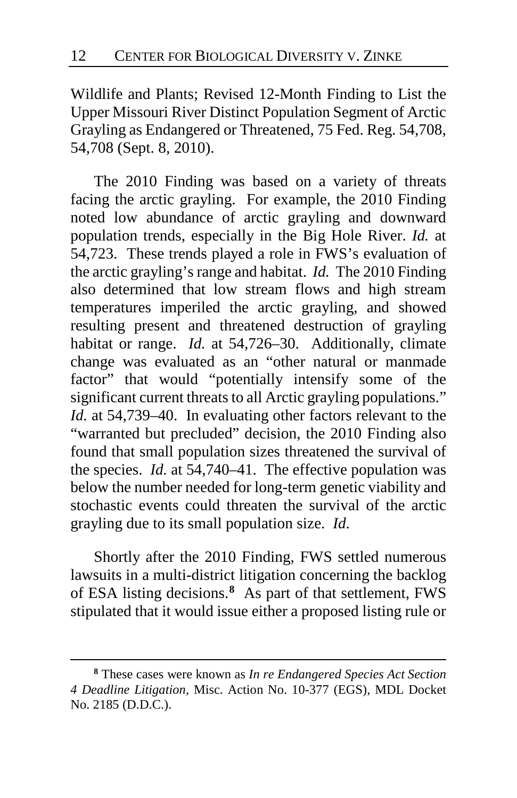Wildlife and Plants; Revised 12-Month Finding to List the Upper Missouri River Distinct Population Segment of Arctic Grayling as Endangered or Threatened, 75 Fed. Reg. 54,708, 54,708 (Sept. 8, 2010).

The 2010 Finding was based on a variety of threats facing the arctic grayling. For example, the 2010 Finding noted low abundance of arctic grayling and downward population trends, especially in the Big Hole River. *Id.* at 54,723. These trends played a role in FWS's evaluation of the arctic grayling's range and habitat. *Id.* The 2010 Finding also determined that low stream flows and high stream temperatures imperiled the arctic grayling, and showed resulting present and threatened destruction of grayling habitat or range. *Id.* at 54,726–30.Additionally, climate change was evaluated as an "other natural or manmade factor" that would "potentially intensify some of the significant current threats to all Arctic grayling populations." *Id.* at 54,739–40.In evaluating other factors relevant to the "warranted but precluded" decision, the 2010 Finding also found that small population sizes threatened the survival of the species. *Id.* at 54,740–41.The effective population was below the number needed for long-term genetic viability and stochastic events could threaten the survival of the arctic grayling due to its small population size. *Id*.

Shortly after the 2010 Finding, FWS settled numerous lawsuits in a multi-district litigation concerning the backlog of ESA listing decisions.**[8](#page-11-0)** As part of that settlement, FWS stipulated that it would issue either a proposed listing rule or

<span id="page-11-0"></span>**<sup>8</sup>** These cases were known as *In re Endangered Species Act Section 4 Deadline Litigation*, Misc. Action No. 10-377 (EGS), MDL Docket No. 2185 (D.D.C.).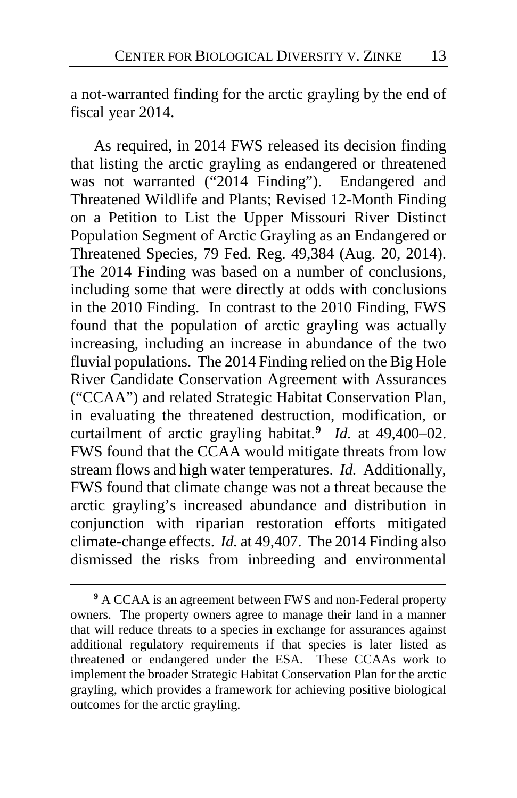a not-warranted finding for the arctic grayling by the end of fiscal year 2014.

As required, in 2014 FWS released its decision finding that listing the arctic grayling as endangered or threatened was not warranted ("2014 Finding"). Endangered and Threatened Wildlife and Plants; Revised 12-Month Finding on a Petition to List the Upper Missouri River Distinct Population Segment of Arctic Grayling as an Endangered or Threatened Species, 79 Fed. Reg. 49,384 (Aug. 20, 2014). The 2014 Finding was based on a number of conclusions, including some that were directly at odds with conclusions in the 2010 Finding. In contrast to the 2010 Finding, FWS found that the population of arctic grayling was actually increasing, including an increase in abundance of the two fluvial populations. The 2014 Finding relied on the Big Hole River Candidate Conservation Agreement with Assurances ("CCAA") and related Strategic Habitat Conservation Plan, in evaluating the threatened destruction, modification, or curtailment of arctic grayling habitat.**[9](#page-12-0)** *Id.* at 49,400–02. FWS found that the CCAA would mitigate threats from low stream flows and high water temperatures. *Id.* Additionally, FWS found that climate change was not a threat because the arctic grayling's increased abundance and distribution in conjunction with riparian restoration efforts mitigated climate-change effects. *Id.* at 49,407.The 2014 Finding also dismissed the risks from inbreeding and environmental

<span id="page-12-0"></span>**<sup>9</sup>** A CCAA is an agreement between FWS and non-Federal property owners. The property owners agree to manage their land in a manner that will reduce threats to a species in exchange for assurances against additional regulatory requirements if that species is later listed as threatened or endangered under the ESA.These CCAAs work to implement the broader Strategic Habitat Conservation Plan for the arctic grayling, which provides a framework for achieving positive biological outcomes for the arctic grayling.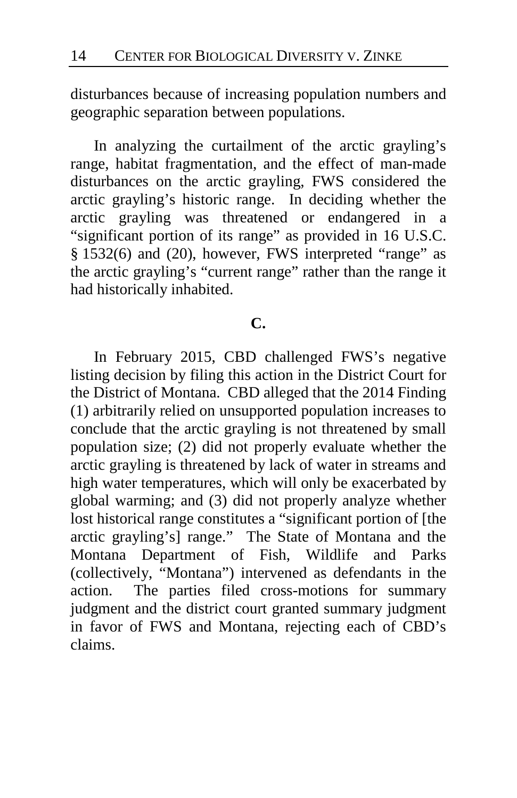disturbances because of increasing population numbers and geographic separation between populations.

In analyzing the curtailment of the arctic grayling's range, habitat fragmentation, and the effect of man-made disturbances on the arctic grayling, FWS considered the arctic grayling's historic range. In deciding whether the arctic grayling was threatened or endangered in a "significant portion of its range" as provided in 16 U.S.C. § 1532(6) and (20), however, FWS interpreted "range" as the arctic grayling's "current range" rather than the range it had historically inhabited.

### **C.**

In February 2015, CBD challenged FWS's negative listing decision by filing this action in the District Court for the District of Montana.CBD alleged that the 2014 Finding (1) arbitrarily relied on unsupported population increases to conclude that the arctic grayling is not threatened by small population size; (2) did not properly evaluate whether the arctic grayling is threatened by lack of water in streams and high water temperatures, which will only be exacerbated by global warming; and (3) did not properly analyze whether lost historical range constitutes a "significant portion of [the arctic grayling's] range."The State of Montana and the Montana Department of Fish, Wildlife and Parks (collectively, "Montana") intervened as defendants in the action.The parties filed cross-motions for summary judgment and the district court granted summary judgment in favor of FWS and Montana, rejecting each of CBD's claims.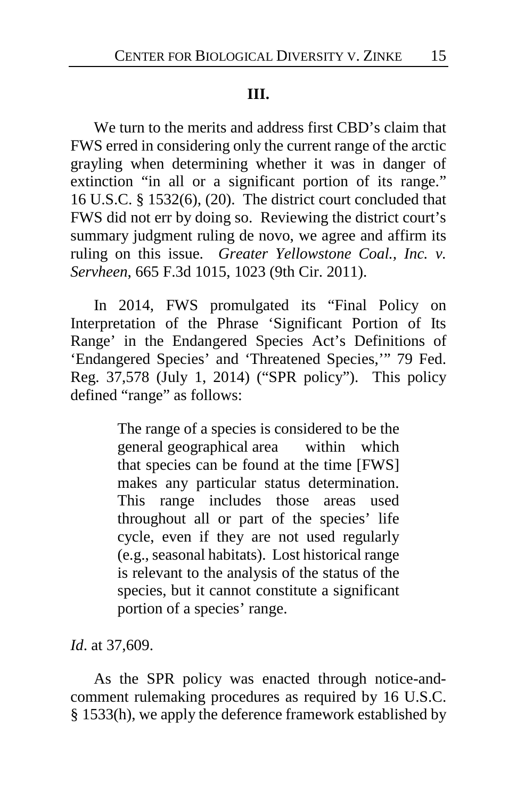### **III.**

We turn to the merits and address first CBD's claim that FWS erred in considering only the current range of the arctic grayling when determining whether it was in danger of extinction "in all or a significant portion of its range." 16 U.S.C. § 1532(6), (20). The district court concluded that FWS did not err by doing so. Reviewing the district court's summary judgment ruling de novo, we agree and affirm its ruling on this issue. *Greater Yellowstone Coal., Inc. v. Servheen*, 665 F.3d 1015, 1023 (9th Cir. 2011).

In 2014, FWS promulgated its "Final Policy on Interpretation of the Phrase 'Significant Portion of Its Range' in the Endangered Species Act's Definitions of 'Endangered Species' and 'Threatened Species,'" 79 Fed. Reg. 37,578 (July 1, 2014) ("SPR policy"). This policy defined "range" as follows:

> The range of a species is considered to be the general geographical area within which that species can be found at the time [FWS] makes any particular status determination. This range includes those areas used throughout all or part of the species' life cycle, even if they are not used regularly (e.g., seasonal habitats). Lost historical range is relevant to the analysis of the status of the species, but it cannot constitute a significant portion of a species' range.

*Id*. at 37,609.

As the SPR policy was enacted through notice-andcomment rulemaking procedures as required by 16 U.S.C. § 1533(h), we apply the deference framework established by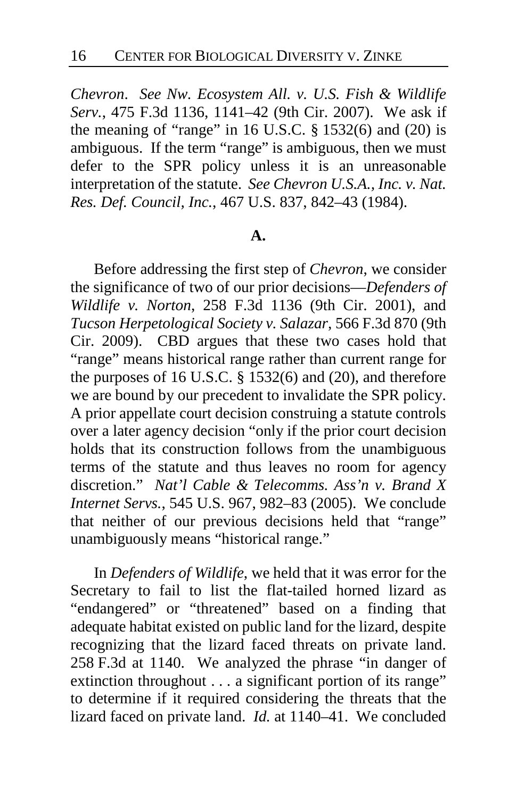*Chevron*. *See Nw. Ecosystem All. v. U.S. Fish & Wildlife Serv.*, 475 F.3d 1136, 1141–42 (9th Cir. 2007). We ask if the meaning of "range" in 16 U.S.C.  $\S$  1532(6) and (20) is ambiguous. If the term "range" is ambiguous, then we must defer to the SPR policy unless it is an unreasonable interpretation of the statute. *See Chevron U.S.A., Inc. v. Nat. Res. Def. Council, Inc.*, 467 U.S. 837, 842–43 (1984).

#### **A.**

Before addressing the first step of *Chevron*, we consider the significance of two of our prior decisions—*Defenders of Wildlife v. Norton*, 258 F.3d 1136 (9th Cir. 2001), and *Tucson Herpetological Society v. Salazar*, 566 F.3d 870 (9th Cir. 2009). CBD argues that these two cases hold that "range" means historical range rather than current range for the purposes of 16 U.S.C. § 1532(6) and (20), and therefore we are bound by our precedent to invalidate the SPR policy. A prior appellate court decision construing a statute controls over a later agency decision "only if the prior court decision holds that its construction follows from the unambiguous terms of the statute and thus leaves no room for agency discretion." *Nat'l Cable & Telecomms. Ass'n v. Brand X Internet Servs.*, 545 U.S. 967, 982–83 (2005). We conclude that neither of our previous decisions held that "range" unambiguously means "historical range."

In *Defenders of Wildlife*, we held that it was error for the Secretary to fail to list the flat-tailed horned lizard as "endangered" or "threatened" based on a finding that adequate habitat existed on public land for the lizard, despite recognizing that the lizard faced threats on private land. 258 F.3d at 1140. We analyzed the phrase "in danger of extinction throughout . . . a significant portion of its range" to determine if it required considering the threats that the lizard faced on private land. *Id.* at 1140–41. We concluded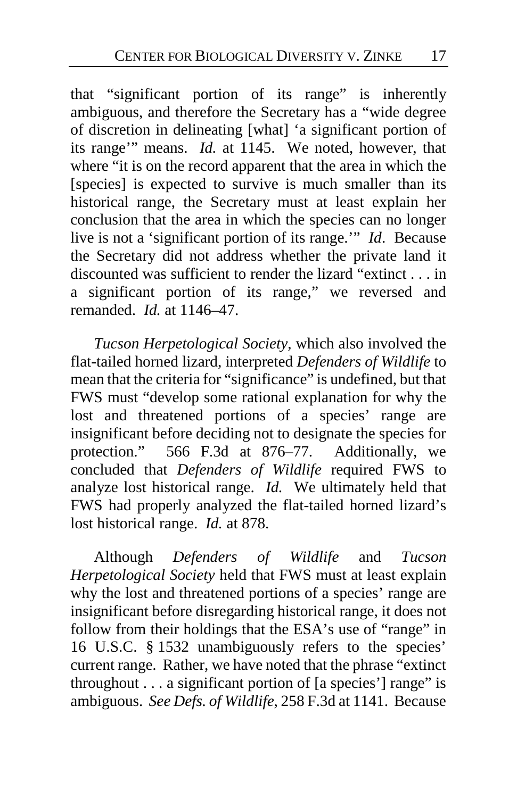that "significant portion of its range" is inherently ambiguous, and therefore the Secretary has a "wide degree of discretion in delineating [what] 'a significant portion of its range'" means. *Id.* at 1145. We noted, however, that where "it is on the record apparent that the area in which the [species] is expected to survive is much smaller than its historical range, the Secretary must at least explain her conclusion that the area in which the species can no longer live is not a 'significant portion of its range.'" *Id*. Because the Secretary did not address whether the private land it discounted was sufficient to render the lizard "extinct . . . in a significant portion of its range," we reversed and remanded. *Id.* at 1146–47.

*Tucson Herpetological Society*, which also involved the flat-tailed horned lizard, interpreted *Defenders of Wildlife* to mean that the criteria for "significance" is undefined, but that FWS must "develop some rational explanation for why the lost and threatened portions of a species' range are insignificant before deciding not to designate the species for protection." 566 F.3d at 876–77. Additionally, we concluded that *Defenders of Wildlife* required FWS to analyze lost historical range. *Id.* We ultimately held that FWS had properly analyzed the flat-tailed horned lizard's lost historical range. *Id.* at 878.

Although *Defenders of Wildlife* and *Tucson Herpetological Society* held that FWS must at least explain why the lost and threatened portions of a species' range are insignificant before disregarding historical range, it does not follow from their holdings that the ESA's use of "range" in 16 U.S.C. § 1532 unambiguously refers to the species' current range. Rather, we have noted that the phrase "extinct throughout  $\dots$  a significant portion of [a species'] range" is ambiguous. *See Defs. of Wildlife*, 258 F.3d at 1141. Because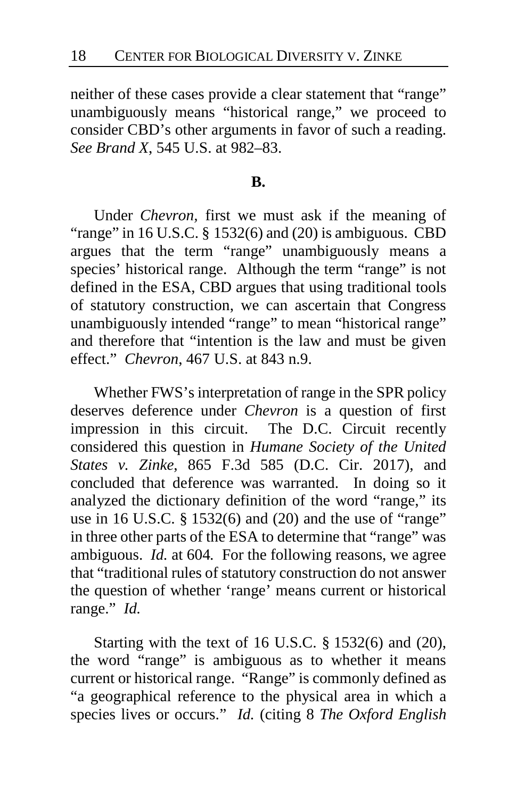neither of these cases provide a clear statement that "range" unambiguously means "historical range," we proceed to consider CBD's other arguments in favor of such a reading. *See Brand X*, 545 U.S. at 982–83.

#### **B.**

Under *Chevron,* first we must ask if the meaning of "range" in 16 U.S.C.  $\S$  1532(6) and (20) is ambiguous. CBD argues that the term "range" unambiguously means a species' historical range. Although the term "range" is not defined in the ESA, CBD argues that using traditional tools of statutory construction, we can ascertain that Congress unambiguously intended "range" to mean "historical range" and therefore that "intention is the law and must be given effect." *Chevron*, 467 U.S. at 843 n.9.

Whether FWS's interpretation of range in the SPR policy deserves deference under *Chevron* is a question of first impression in this circuit. The D.C. Circuit recently considered this question in *Humane Society of the United States v. Zinke*, 865 F.3d 585 (D.C. Cir. 2017), and concluded that deference was warranted. In doing so it analyzed the dictionary definition of the word "range," its use in 16 U.S.C. § 1532(6) and (20) and the use of "range" in three other parts of the ESA to determine that "range" was ambiguous. *Id.* at 604*.* For the following reasons, we agree that "traditional rules of statutory construction do not answer the question of whether 'range' means current or historical range." *Id.*

Starting with the text of 16 U.S.C. § 1532(6) and (20), the word "range" is ambiguous as to whether it means current or historical range. "Range" is commonly defined as "a geographical reference to the physical area in which a species lives or occurs." *Id.* (citing 8 *The Oxford English*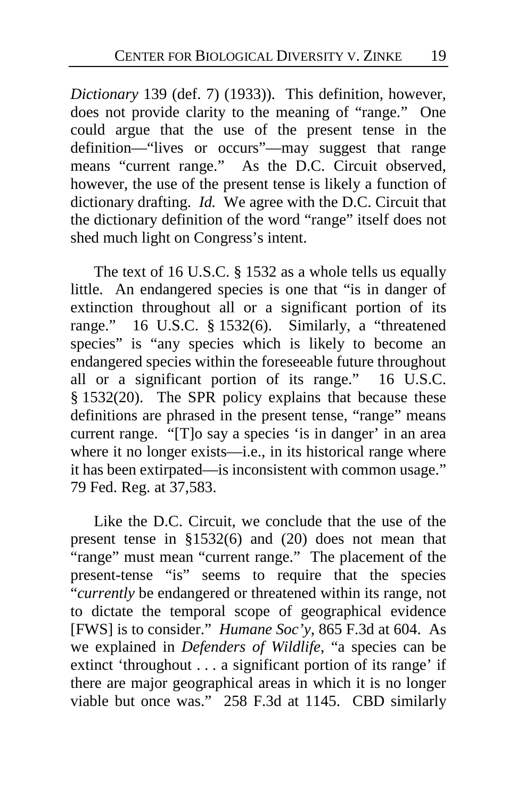*Dictionary* 139 (def. 7) (1933)). This definition, however, does not provide clarity to the meaning of "range." One could argue that the use of the present tense in the definition—"lives or occurs"—may suggest that range means "current range." As the D.C. Circuit observed, however, the use of the present tense is likely a function of dictionary drafting. *Id.* We agree with the D.C. Circuit that the dictionary definition of the word "range" itself does not shed much light on Congress's intent.

The text of 16 U.S.C. § 1532 as a whole tells us equally little. An endangered species is one that "is in danger of extinction throughout all or a significant portion of its range." 16 U.S.C. § 1532(6). Similarly, a "threatened species" is "any species which is likely to become an endangered species within the foreseeable future throughout all or a significant portion of its range." 16 U.S.C. § 1532(20). The SPR policy explains that because these definitions are phrased in the present tense, "range" means current range. "[T]o say a species 'is in danger' in an area where it no longer exists—i.e., in its historical range where it has been extirpated—is inconsistent with common usage." 79 Fed. Reg. at 37,583.

Like the D.C. Circuit, we conclude that the use of the present tense in §1532(6) and (20) does not mean that "range" must mean "current range." The placement of the present-tense "is" seems to require that the species "*currently* be endangered or threatened within its range, not to dictate the temporal scope of geographical evidence [FWS] is to consider." *Humane Soc'y*, 865 F.3d at 604. As we explained in *Defenders of Wildlife*, "a species can be extinct 'throughout . . . a significant portion of its range' if there are major geographical areas in which it is no longer viable but once was." 258 F.3d at 1145.CBD similarly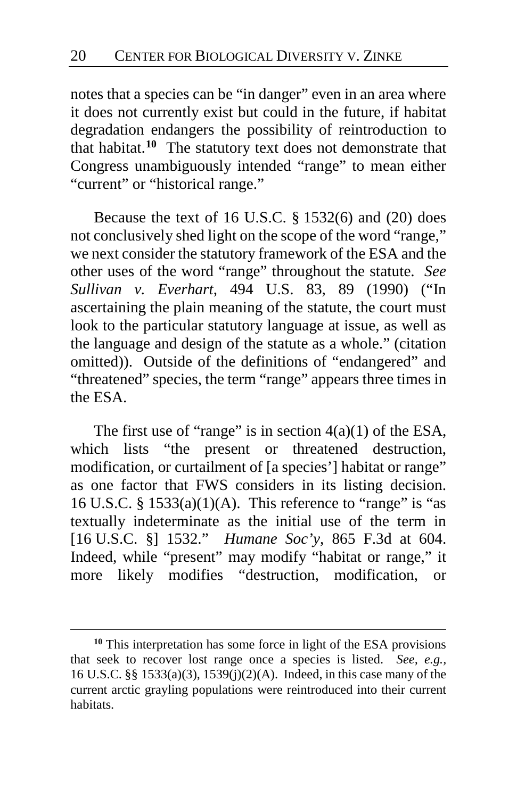notes that a species can be "in danger" even in an area where it does not currently exist but could in the future, if habitat degradation endangers the possibility of reintroduction to that habitat.**[10](#page-19-0)** The statutory text does not demonstrate that Congress unambiguously intended "range" to mean either "current" or "historical range."

Because the text of 16 U.S.C. § 1532(6) and (20) does not conclusively shed light on the scope of the word "range," we next consider the statutory framework of the ESA and the other uses of the word "range" throughout the statute. *See Sullivan v. Everhart*, 494 U.S. 83, 89 (1990) ("In ascertaining the plain meaning of the statute, the court must look to the particular statutory language at issue, as well as the language and design of the statute as a whole." (citation omitted)). Outside of the definitions of "endangered" and "threatened" species, the term "range" appears three times in the ESA.

The first use of "range" is in section  $4(a)(1)$  of the ESA, which lists "the present or threatened destruction, modification, or curtailment of [a species'] habitat or range" as one factor that FWS considers in its listing decision. 16 U.S.C.  $\S$  1533(a)(1)(A). This reference to "range" is "as textually indeterminate as the initial use of the term in [16 U.S.C. §] 1532." *Humane Soc'y*, 865 F.3d at 604. Indeed, while "present" may modify "habitat or range," it more likely modifies "destruction, modification, or

<span id="page-19-0"></span>**<sup>10</sup>** This interpretation has some force in light of the ESA provisions that seek to recover lost range once a species is listed. *See, e.g.,*  16 U.S.C. §§ 1533(a)(3), 1539(j)(2)(A). Indeed, in this case many of the current arctic grayling populations were reintroduced into their current habitats.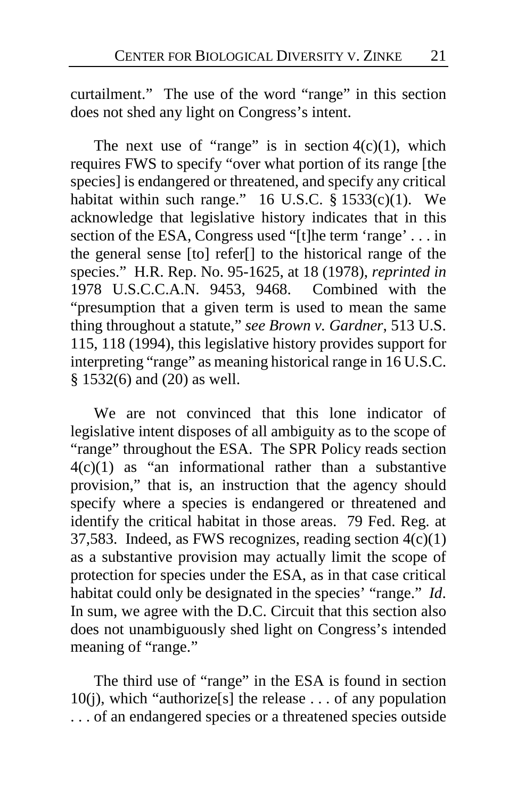curtailment." The use of the word "range" in this section does not shed any light on Congress's intent.

The next use of "range" is in section  $4(c)(1)$ , which requires FWS to specify "over what portion of its range [the species] is endangered or threatened, and specify any critical habitat within such range."  $16$  U.S.C.  $\frac{2}{3}$  1533(c)(1). We acknowledge that legislative history indicates that in this section of the ESA, Congress used "[t]he term 'range' . . . in the general sense [to] refer[] to the historical range of the species." H.R. Rep. No. 95-1625, at 18 (1978), *reprinted in* 1978 U.S.C.C.A.N. 9453, 9468. Combined with the "presumption that a given term is used to mean the same thing throughout a statute," *see Brown v. Gardner*, 513 U.S. 115, 118 (1994), this legislative history provides support for interpreting "range" as meaning historical range in 16 U.S.C. § 1532(6) and (20) as well.

We are not convinced that this lone indicator of legislative intent disposes of all ambiguity as to the scope of "range" throughout the ESA. The SPR Policy reads section  $4(c)(1)$  as "an informational rather than a substantive provision," that is, an instruction that the agency should specify where a species is endangered or threatened and identify the critical habitat in those areas. 79 Fed. Reg. at 37,583. Indeed, as FWS recognizes, reading section 4(c)(1) as a substantive provision may actually limit the scope of protection for species under the ESA, as in that case critical habitat could only be designated in the species' "range." *Id*. In sum, we agree with the D.C. Circuit that this section also does not unambiguously shed light on Congress's intended meaning of "range."

The third use of "range" in the ESA is found in section 10(j), which "authorize[s] the release . . . of any population . . . of an endangered species or a threatened species outside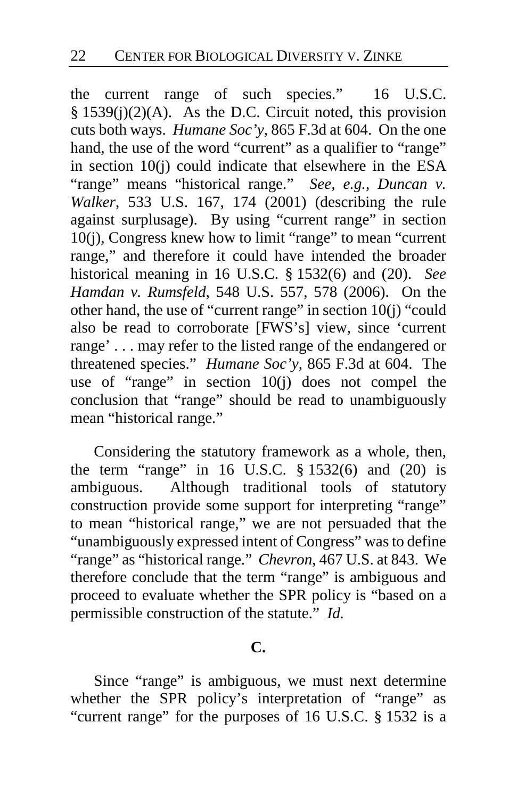the current range of such species." 16 U.S.C.  $§ 1539(i)(2)(A)$ . As the D.C. Circuit noted, this provision cuts both ways. *Humane Soc'y*, 865 F.3d at 604. On the one hand, the use of the word "current" as a qualifier to "range" in section 10(j) could indicate that elsewhere in the ESA "range" means "historical range." *See, e.g.*, *Duncan v. Walker*, 533 U.S. 167, 174 (2001) (describing the rule against surplusage). By using "current range" in section 10(j), Congress knew how to limit "range" to mean "current range," and therefore it could have intended the broader historical meaning in 16 U.S.C. § 1532(6) and (20). *See Hamdan v. Rumsfeld*, 548 U.S. 557, 578 (2006). On the other hand, the use of "current range" in section 10(j) "could also be read to corroborate [FWS's] view, since 'current range' . . . may refer to the listed range of the endangered or threatened species." *Humane Soc'y*, 865 F.3d at 604. The use of "range" in section  $10(i)$  does not compel the conclusion that "range" should be read to unambiguously mean "historical range."

Considering the statutory framework as a whole, then, the term "range" in 16 U.S.C.  $\S$  1532(6) and (20) is ambiguous. Although traditional tools of statutory construction provide some support for interpreting "range" to mean "historical range," we are not persuaded that the "unambiguously expressed intent of Congress" was to define "range" as "historical range." *Chevron*, 467 U.S. at 843. We therefore conclude that the term "range" is ambiguous and proceed to evaluate whether the SPR policy is "based on a permissible construction of the statute." *Id.*

### **C.**

Since "range" is ambiguous, we must next determine whether the SPR policy's interpretation of "range" as "current range" for the purposes of 16 U.S.C. § 1532 is a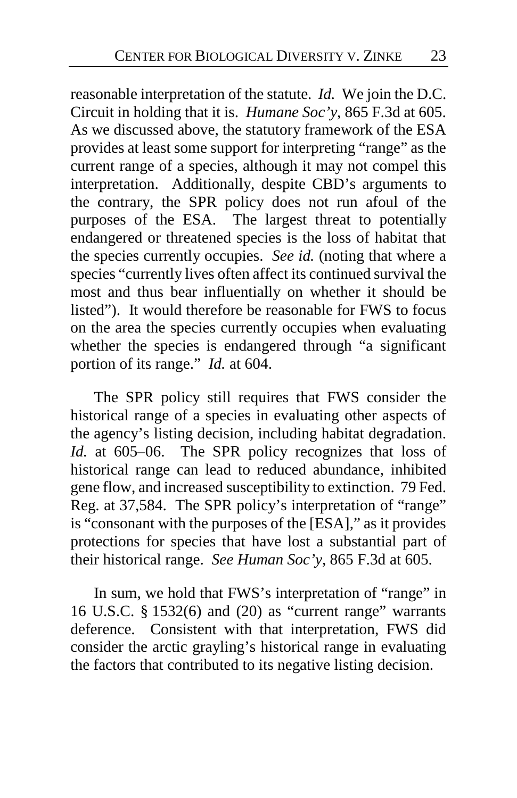reasonable interpretation of the statute. *Id.* We join the D.C. Circuit in holding that it is. *Humane Soc'y*, 865 F.3d at 605. As we discussed above, the statutory framework of the ESA provides at least some support for interpreting "range" as the current range of a species, although it may not compel this interpretation. Additionally, despite CBD's arguments to the contrary, the SPR policy does not run afoul of the purposes of the ESA. The largest threat to potentially endangered or threatened species is the loss of habitat that the species currently occupies. *See id.* (noting that where a species "currently lives often affect its continued survival the most and thus bear influentially on whether it should be listed"). It would therefore be reasonable for FWS to focus on the area the species currently occupies when evaluating whether the species is endangered through "a significant portion of its range." *Id.* at 604.

The SPR policy still requires that FWS consider the historical range of a species in evaluating other aspects of the agency's listing decision, including habitat degradation. *Id.* at 605–06. The SPR policy recognizes that loss of historical range can lead to reduced abundance, inhibited gene flow, and increased susceptibility to extinction. 79 Fed. Reg. at 37,584.The SPR policy's interpretation of "range" is "consonant with the purposes of the [ESA]," as it provides protections for species that have lost a substantial part of their historical range. *See Human Soc'y*, 865 F.3d at 605.

In sum, we hold that FWS's interpretation of "range" in 16 U.S.C. § 1532(6) and (20) as "current range" warrants deference. Consistent with that interpretation, FWS did consider the arctic grayling's historical range in evaluating the factors that contributed to its negative listing decision.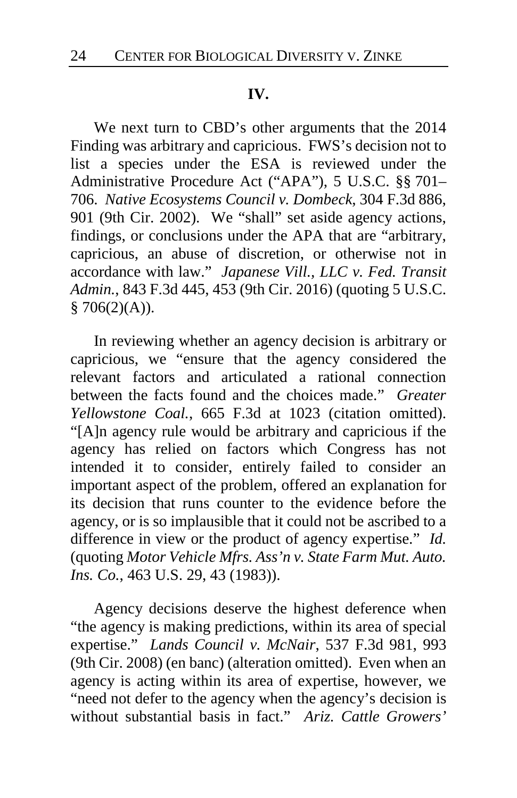### **IV.**

We next turn to CBD's other arguments that the 2014 Finding was arbitrary and capricious. FWS's decision not to list a species under the ESA is reviewed under the Administrative Procedure Act ("APA"), 5 U.S.C. §§ 701– 706. *Native Ecosystems Council v. Dombeck*, 304 F.3d 886, 901 (9th Cir. 2002). We "shall" set aside agency actions, findings, or conclusions under the APA that are "arbitrary, capricious, an abuse of discretion, or otherwise not in accordance with law." *Japanese Vill., LLC v. Fed. Transit Admin.*, 843 F.3d 445, 453 (9th Cir. 2016) (quoting 5 U.S.C.  $$706(2)(A)).$ 

In reviewing whether an agency decision is arbitrary or capricious, we "ensure that the agency considered the relevant factors and articulated a rational connection between the facts found and the choices made." *Greater Yellowstone Coal.*, 665 F.3d at 1023 (citation omitted). "[A]n agency rule would be arbitrary and capricious if the agency has relied on factors which Congress has not intended it to consider, entirely failed to consider an important aspect of the problem, offered an explanation for its decision that runs counter to the evidence before the agency, or is so implausible that it could not be ascribed to a difference in view or the product of agency expertise." *Id.*  (quoting *Motor Vehicle Mfrs. Ass'n v. State Farm Mut. Auto. Ins. Co.*, 463 U.S. 29, 43 (1983)).

Agency decisions deserve the highest deference when "the agency is making predictions, within its area of special expertise." *Lands Council v. McNair*, 537 F.3d 981, 993 (9th Cir. 2008) (en banc) (alteration omitted). Even when an agency is acting within its area of expertise, however, we "need not defer to the agency when the agency's decision is without substantial basis in fact." *Ariz. Cattle Growers'*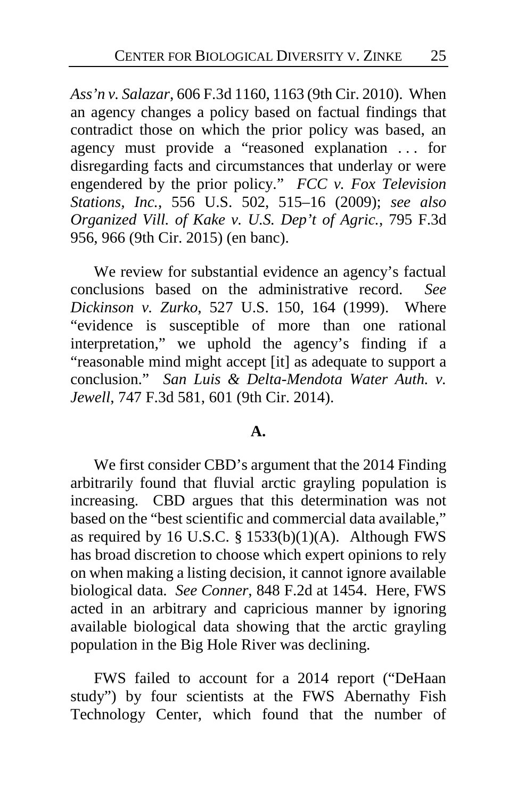*Ass'n v. Salazar*, 606 F.3d 1160, 1163 (9th Cir. 2010). When an agency changes a policy based on factual findings that contradict those on which the prior policy was based, an agency must provide a "reasoned explanation . . . for disregarding facts and circumstances that underlay or were engendered by the prior policy." *FCC v. Fox Television Stations, Inc.*, 556 U.S. 502, 515–16 (2009); *see also Organized Vill. of Kake v. U.S. Dep't of Agric.*, 795 F.3d 956, 966 (9th Cir. 2015) (en banc).

We review for substantial evidence an agency's factual conclusions based on the administrative record. *See Dickinson v. Zurko*, 527 U.S. 150, 164 (1999). Where "evidence is susceptible of more than one rational interpretation," we uphold the agency's finding if a "reasonable mind might accept [it] as adequate to support a conclusion." *San Luis & Delta-Mendota Water Auth. v. Jewell*, 747 F.3d 581, 601 (9th Cir. 2014).

### **A.**

We first consider CBD's argument that the 2014 Finding arbitrarily found that fluvial arctic grayling population is increasing. CBD argues that this determination was not based on the "best scientific and commercial data available," as required by 16 U.S.C.  $\S$  1533(b)(1)(A). Although FWS has broad discretion to choose which expert opinions to rely on when making a listing decision, it cannot ignore available biological data. *See Conner*, 848 F.2d at 1454. Here, FWS acted in an arbitrary and capricious manner by ignoring available biological data showing that the arctic grayling population in the Big Hole River was declining.

FWS failed to account for a 2014 report ("DeHaan study") by four scientists at the FWS Abernathy Fish Technology Center, which found that the number of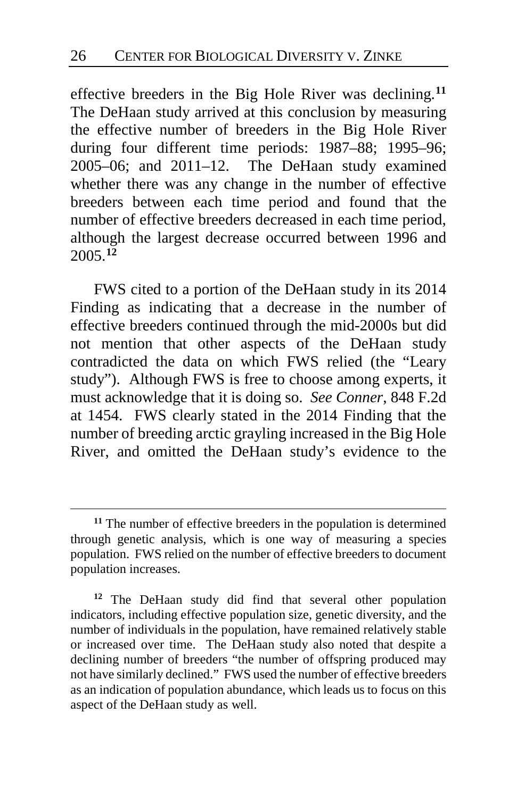effective breeders in the Big Hole River was declining.**[11](#page-25-0)** The DeHaan study arrived at this conclusion by measuring the effective number of breeders in the Big Hole River during four different time periods: 1987–88; 1995–96; 2005–06; and 2011–12.The DeHaan study examined whether there was any change in the number of effective breeders between each time period and found that the number of effective breeders decreased in each time period, although the largest decrease occurred between 1996 and 2005.**[12](#page-25-1)**

FWS cited to a portion of the DeHaan study in its 2014 Finding as indicating that a decrease in the number of effective breeders continued through the mid-2000s but did not mention that other aspects of the DeHaan study contradicted the data on which FWS relied (the "Leary study"). Although FWS is free to choose among experts, it must acknowledge that it is doing so. *See Conner*, 848 F.2d at 1454. FWS clearly stated in the 2014 Finding that the number of breeding arctic grayling increased in the Big Hole River, and omitted the DeHaan study's evidence to the

<span id="page-25-0"></span>**<sup>11</sup>** The number of effective breeders in the population is determined through genetic analysis, which is one way of measuring a species population. FWS relied on the number of effective breeders to document population increases.

<span id="page-25-1"></span>**<sup>12</sup>** The DeHaan study did find that several other population indicators, including effective population size, genetic diversity, and the number of individuals in the population, have remained relatively stable or increased over time.The DeHaan study also noted that despite a declining number of breeders "the number of offspring produced may not have similarly declined."FWS used the number of effective breeders as an indication of population abundance, which leads us to focus on this aspect of the DeHaan study as well.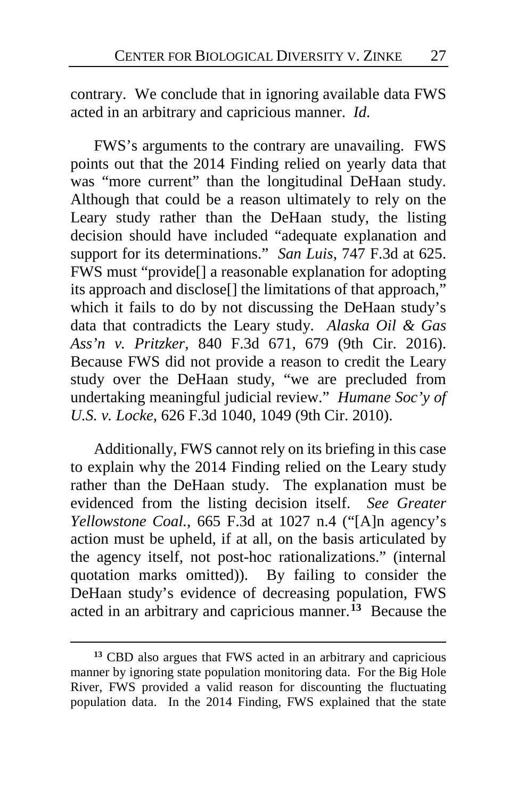contrary. We conclude that in ignoring available data FWS acted in an arbitrary and capricious manner. *Id*.

FWS's arguments to the contrary are unavailing. FWS points out that the 2014 Finding relied on yearly data that was "more current" than the longitudinal DeHaan study. Although that could be a reason ultimately to rely on the Leary study rather than the DeHaan study, the listing decision should have included "adequate explanation and support for its determinations." *San Luis*, 747 F.3d at 625. FWS must "provide[] a reasonable explanation for adopting its approach and disclose[] the limitations of that approach," which it fails to do by not discussing the DeHaan study's data that contradicts the Leary study. *Alaska Oil & Gas Ass'n v. Pritzker*, 840 F.3d 671, 679 (9th Cir. 2016). Because FWS did not provide a reason to credit the Leary study over the DeHaan study, "we are precluded from undertaking meaningful judicial review." *Humane Soc'y of U.S. v. Locke*, 626 F.3d 1040, 1049 (9th Cir. 2010).

Additionally, FWS cannot rely on its briefing in this case to explain why the 2014 Finding relied on the Leary study rather than the DeHaan study. The explanation must be evidenced from the listing decision itself. *See Greater Yellowstone Coal.*, 665 F.3d at 1027 n.4 ("[A]n agency's action must be upheld, if at all, on the basis articulated by the agency itself, not post-hoc rationalizations." (internal quotation marks omitted)). By failing to consider the DeHaan study's evidence of decreasing population, FWS acted in an arbitrary and capricious manner.**[13](#page-26-0)** Because the

<span id="page-26-0"></span>**<sup>13</sup>** CBD also argues that FWS acted in an arbitrary and capricious manner by ignoring state population monitoring data. For the Big Hole River, FWS provided a valid reason for discounting the fluctuating population data. In the 2014 Finding, FWS explained that the state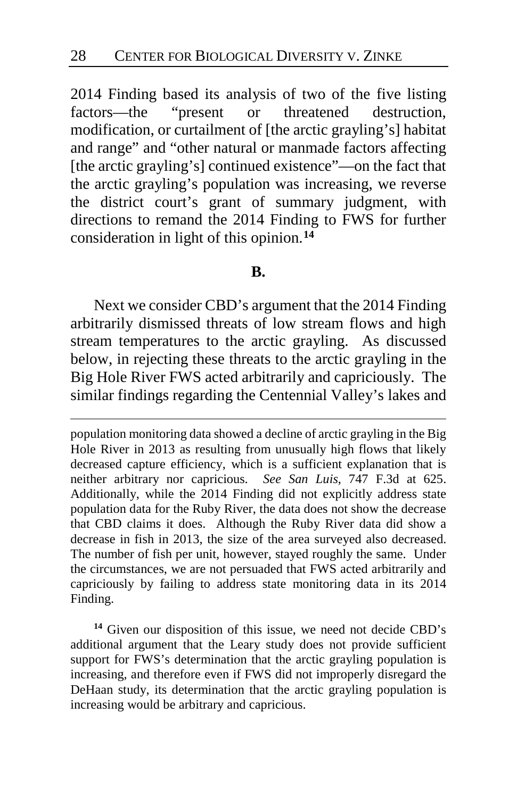2014 Finding based its analysis of two of the five listing factors—the "present or threatened destruction, modification, or curtailment of [the arctic grayling's] habitat and range" and "other natural or manmade factors affecting [the arctic grayling's] continued existence"—on the fact that the arctic grayling's population was increasing, we reverse the district court's grant of summary judgment, with directions to remand the 2014 Finding to FWS for further consideration in light of this opinion.**[14](#page-27-0)**

#### **B.**

Next we consider CBD's argument that the 2014 Finding arbitrarily dismissed threats of low stream flows and high stream temperatures to the arctic grayling. As discussed below, in rejecting these threats to the arctic grayling in the Big Hole River FWS acted arbitrarily and capriciously. The similar findings regarding the Centennial Valley's lakes and

 $\overline{a}$ 

<span id="page-27-0"></span>**<sup>14</sup>** Given our disposition of this issue, we need not decide CBD's additional argument that the Leary study does not provide sufficient support for FWS's determination that the arctic grayling population is increasing, and therefore even if FWS did not improperly disregard the DeHaan study, its determination that the arctic grayling population is increasing would be arbitrary and capricious.

population monitoring data showed a decline of arctic grayling in the Big Hole River in 2013 as resulting from unusually high flows that likely decreased capture efficiency, which is a sufficient explanation that is neither arbitrary nor capricious. *See San Luis*, 747 F.3d at 625. Additionally, while the 2014 Finding did not explicitly address state population data for the Ruby River, the data does not show the decrease that CBD claims it does. Although the Ruby River data did show a decrease in fish in 2013, the size of the area surveyed also decreased. The number of fish per unit, however, stayed roughly the same. Under the circumstances, we are not persuaded that FWS acted arbitrarily and capriciously by failing to address state monitoring data in its 2014 Finding.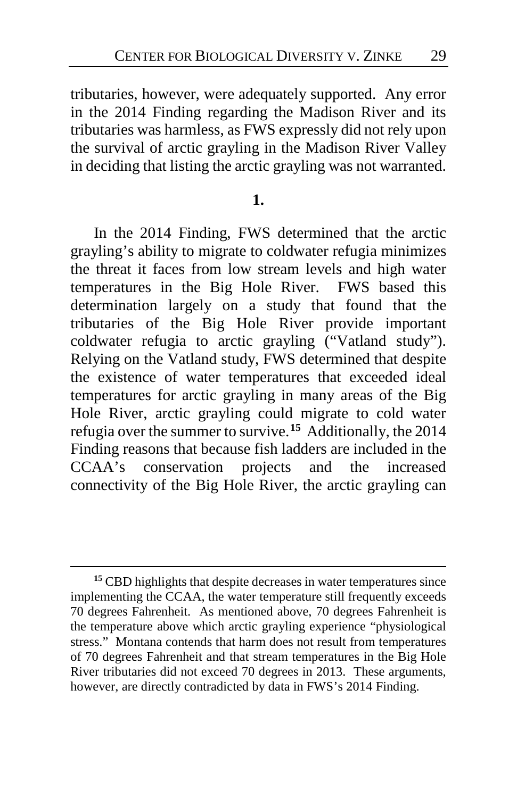tributaries, however, were adequately supported. Any error in the 2014 Finding regarding the Madison River and its tributaries was harmless, as FWS expressly did not rely upon the survival of arctic grayling in the Madison River Valley in deciding that listing the arctic grayling was not warranted.

### **1.**

In the 2014 Finding, FWS determined that the arctic grayling's ability to migrate to coldwater refugia minimizes the threat it faces from low stream levels and high water temperatures in the Big Hole River. FWS based this determination largely on a study that found that the tributaries of the Big Hole River provide important coldwater refugia to arctic grayling ("Vatland study"). Relying on the Vatland study, FWS determined that despite the existence of water temperatures that exceeded ideal temperatures for arctic grayling in many areas of the Big Hole River, arctic grayling could migrate to cold water refugia over the summer to survive.**[15](#page-28-0)** Additionally, the 2014 Finding reasons that because fish ladders are included in the CCAA's conservation projects and the increased connectivity of the Big Hole River, the arctic grayling can

<span id="page-28-0"></span>**<sup>15</sup>** CBD highlights that despite decreases in water temperatures since implementing the CCAA, the water temperature still frequently exceeds 70 degrees Fahrenheit.As mentioned above, 70 degrees Fahrenheit is the temperature above which arctic grayling experience "physiological stress."Montana contends that harm does not result from temperatures of 70 degrees Fahrenheit and that stream temperatures in the Big Hole River tributaries did not exceed 70 degrees in 2013. These arguments, however, are directly contradicted by data in FWS's 2014 Finding.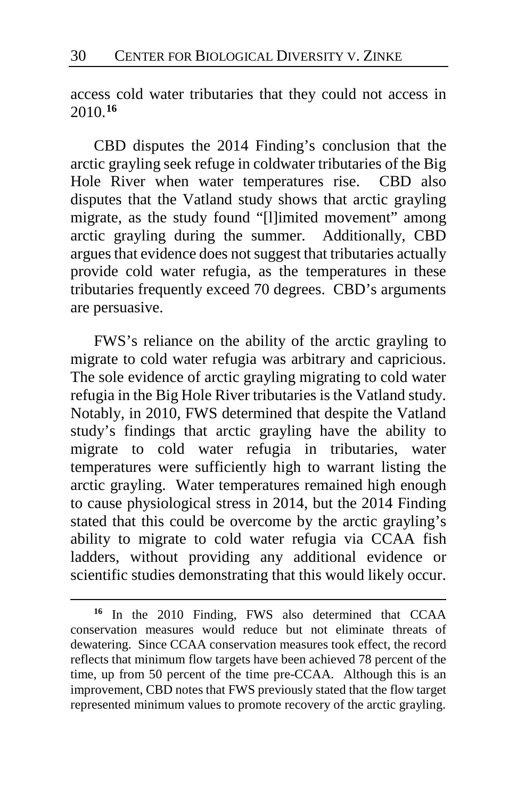access cold water tributaries that they could not access in 2010.**[16](#page-29-0)**

CBD disputes the 2014 Finding's conclusion that the arctic grayling seek refuge in coldwater tributaries of the Big Hole River when water temperatures rise.CBD also disputes that the Vatland study shows that arctic grayling migrate, as the study found "[l]imited movement" among arctic grayling during the summer.Additionally, CBD argues that evidence does not suggest that tributaries actually provide cold water refugia, as the temperatures in these tributaries frequently exceed 70 degrees.CBD's arguments are persuasive.

FWS's reliance on the ability of the arctic grayling to migrate to cold water refugia was arbitrary and capricious. The sole evidence of arctic grayling migrating to cold water refugia in the Big Hole River tributaries is the Vatland study. Notably, in 2010, FWS determined that despite the Vatland study's findings that arctic grayling have the ability to migrate to cold water refugia in tributaries, water temperatures were sufficiently high to warrant listing the arctic grayling. Water temperatures remained high enough to cause physiological stress in 2014, but the 2014 Finding stated that this could be overcome by the arctic grayling's ability to migrate to cold water refugia via CCAA fish ladders, without providing any additional evidence or scientific studies demonstrating that this would likely occur.

<span id="page-29-0"></span>**<sup>16</sup>** In the 2010 Finding, FWS also determined that CCAA conservation measures would reduce but not eliminate threats of dewatering.Since CCAA conservation measures took effect, the record reflects that minimum flow targets have been achieved 78 percent of the time, up from 50 percent of the time pre-CCAA.Although this is an improvement, CBD notes that FWS previously stated that the flow target represented minimum values to promote recovery of the arctic grayling.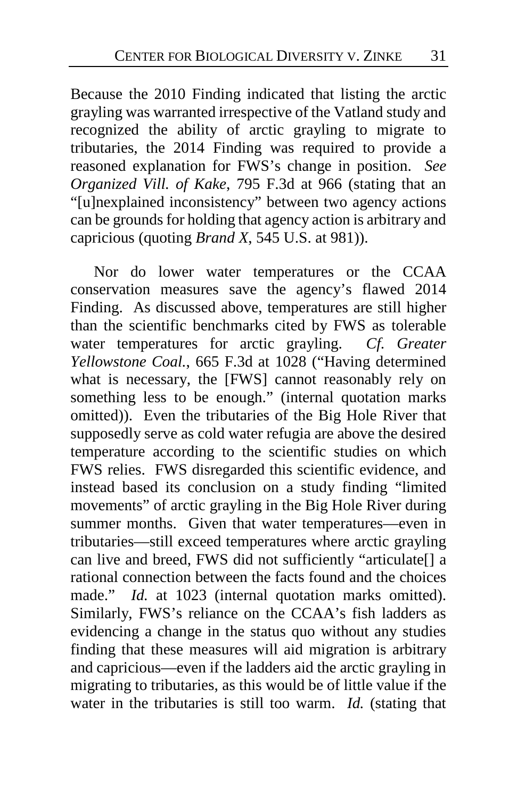Because the 2010 Finding indicated that listing the arctic grayling was warranted irrespective of the Vatland study and recognized the ability of arctic grayling to migrate to tributaries, the 2014 Finding was required to provide a reasoned explanation for FWS's change in position. *See Organized Vill. of Kake*, 795 F.3d at 966 (stating that an "[u]nexplained inconsistency" between two agency actions can be grounds for holding that agency action is arbitrary and capricious (quoting *Brand X*, 545 U.S. at 981)).

Nor do lower water temperatures or the CCAA conservation measures save the agency's flawed 2014 Finding. As discussed above, temperatures are still higher than the scientific benchmarks cited by FWS as tolerable water temperatures for arctic grayling. *Cf. Greater Yellowstone Coal.*, 665 F.3d at 1028 ("Having determined what is necessary, the [FWS] cannot reasonably rely on something less to be enough." (internal quotation marks omitted)). Even the tributaries of the Big Hole River that supposedly serve as cold water refugia are above the desired temperature according to the scientific studies on which FWS relies.FWS disregarded this scientific evidence, and instead based its conclusion on a study finding "limited movements" of arctic grayling in the Big Hole River during summer months. Given that water temperatures—even in tributaries—still exceed temperatures where arctic grayling can live and breed, FWS did not sufficiently "articulate[] a rational connection between the facts found and the choices made." *Id.* at 1023 (internal quotation marks omitted). Similarly, FWS's reliance on the CCAA's fish ladders as evidencing a change in the status quo without any studies finding that these measures will aid migration is arbitrary and capricious—even if the ladders aid the arctic grayling in migrating to tributaries, as this would be of little value if the water in the tributaries is still too warm. *Id.* (stating that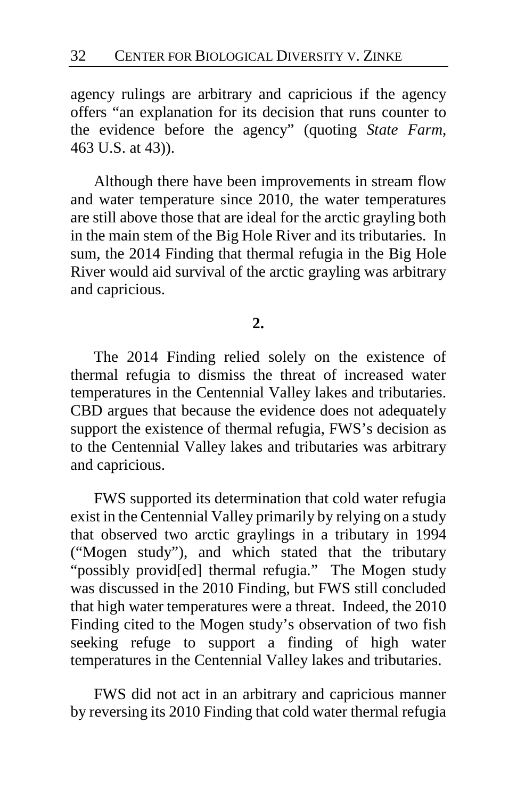agency rulings are arbitrary and capricious if the agency offers "an explanation for its decision that runs counter to the evidence before the agency" (quoting *State Farm*, 463 U.S. at 43)).

Although there have been improvements in stream flow and water temperature since 2010, the water temperatures are still above those that are ideal for the arctic grayling both in the main stem of the Big Hole River and its tributaries. In sum, the 2014 Finding that thermal refugia in the Big Hole River would aid survival of the arctic grayling was arbitrary and capricious.

### **2.**

The 2014 Finding relied solely on the existence of thermal refugia to dismiss the threat of increased water temperatures in the Centennial Valley lakes and tributaries. CBD argues that because the evidence does not adequately support the existence of thermal refugia, FWS's decision as to the Centennial Valley lakes and tributaries was arbitrary and capricious.

FWS supported its determination that cold water refugia exist in the Centennial Valley primarily by relying on a study that observed two arctic graylings in a tributary in 1994 ("Mogen study"), and which stated that the tributary "possibly provid[ed] thermal refugia." The Mogen study was discussed in the 2010 Finding, but FWS still concluded that high water temperatures were a threat.Indeed, the 2010 Finding cited to the Mogen study's observation of two fish seeking refuge to support a finding of high water temperatures in the Centennial Valley lakes and tributaries.

FWS did not act in an arbitrary and capricious manner by reversing its 2010 Finding that cold water thermal refugia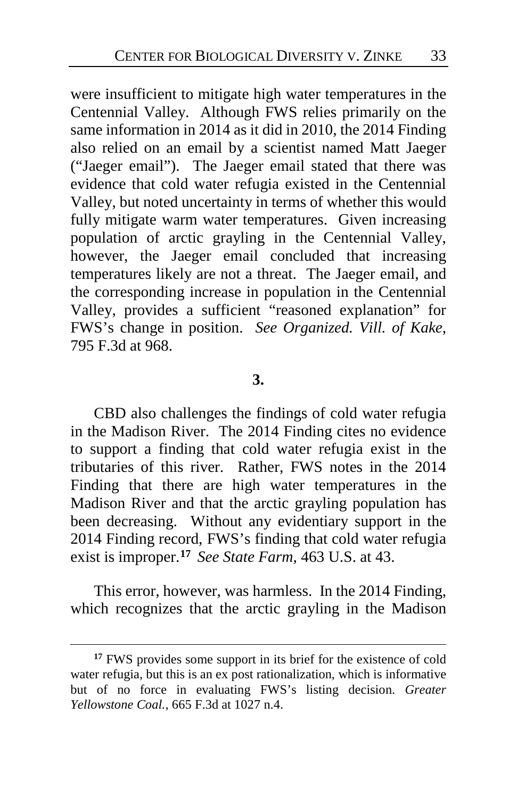were insufficient to mitigate high water temperatures in the Centennial Valley. Although FWS relies primarily on the same information in 2014 as it did in 2010, the 2014 Finding also relied on an email by a scientist named Matt Jaeger ("Jaeger email"). The Jaeger email stated that there was evidence that cold water refugia existed in the Centennial Valley, but noted uncertainty in terms of whether this would fully mitigate warm water temperatures. Given increasing population of arctic grayling in the Centennial Valley, however, the Jaeger email concluded that increasing temperatures likely are not a threat. The Jaeger email, and the corresponding increase in population in the Centennial Valley, provides a sufficient "reasoned explanation" for FWS's change in position. *See Organized. Vill. of Kake*, 795 F.3d at 968.

### **3.**

CBD also challenges the findings of cold water refugia in the Madison River. The 2014 Finding cites no evidence to support a finding that cold water refugia exist in the tributaries of this river.Rather, FWS notes in the 2014 Finding that there are high water temperatures in the Madison River and that the arctic grayling population has been decreasing.Without any evidentiary support in the 2014 Finding record, FWS's finding that cold water refugia exist is improper.**[17](#page-32-0)** *See State Farm*, 463 U.S. at 43.

This error, however, was harmless. In the 2014 Finding, which recognizes that the arctic grayling in the Madison

<span id="page-32-0"></span>**<sup>17</sup>** FWS provides some support in its brief for the existence of cold water refugia, but this is an ex post rationalization, which is informative but of no force in evaluating FWS's listing decision. *Greater Yellowstone Coal.*, 665 F.3d at 1027 n.4.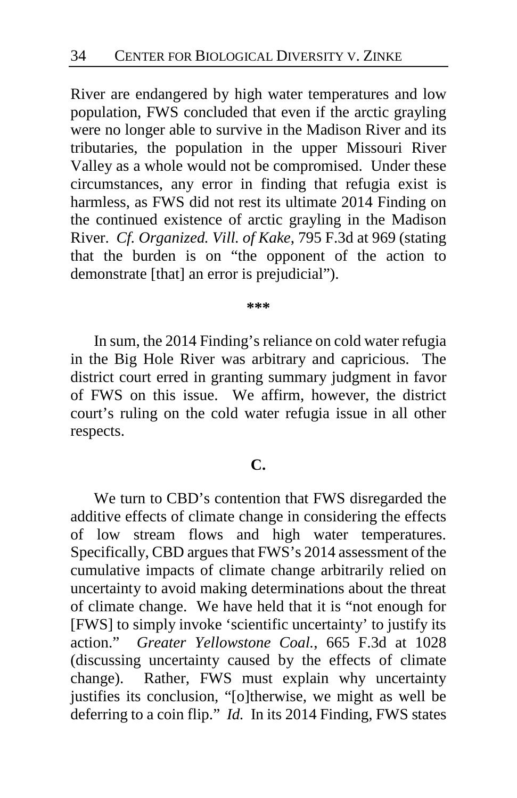River are endangered by high water temperatures and low population, FWS concluded that even if the arctic grayling were no longer able to survive in the Madison River and its tributaries, the population in the upper Missouri River Valley as a whole would not be compromised.Under these circumstances, any error in finding that refugia exist is harmless, as FWS did not rest its ultimate 2014 Finding on the continued existence of arctic grayling in the Madison River. *Cf. Organized. Vill. of Kake*, 795 F.3d at 969 (stating that the burden is on "the opponent of the action to demonstrate [that] an error is prejudicial").

**\*\*\***

In sum, the 2014 Finding's reliance on cold water refugia in the Big Hole River was arbitrary and capricious. The district court erred in granting summary judgment in favor of FWS on this issue. We affirm, however, the district court's ruling on the cold water refugia issue in all other respects.

### **C.**

We turn to CBD's contention that FWS disregarded the additive effects of climate change in considering the effects of low stream flows and high water temperatures. Specifically, CBD argues that FWS's 2014 assessment of the cumulative impacts of climate change arbitrarily relied on uncertainty to avoid making determinations about the threat of climate change. We have held that it is "not enough for [FWS] to simply invoke 'scientific uncertainty' to justify its action." *Greater Yellowstone Coal.*, 665 F.3d at 1028 (discussing uncertainty caused by the effects of climate change). Rather, FWS must explain why uncertainty justifies its conclusion, "[o]therwise, we might as well be deferring to a coin flip." *Id.* In its 2014 Finding, FWS states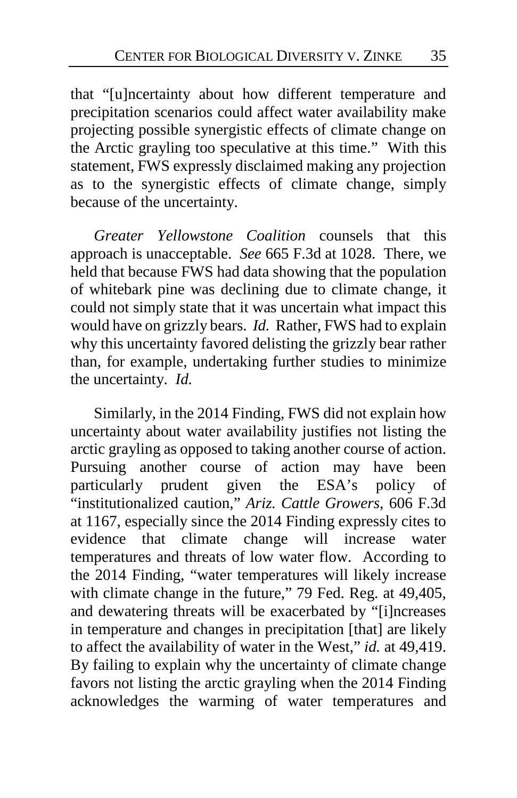that "[u]ncertainty about how different temperature and precipitation scenarios could affect water availability make projecting possible synergistic effects of climate change on the Arctic grayling too speculative at this time."With this statement, FWS expressly disclaimed making any projection as to the synergistic effects of climate change, simply because of the uncertainty.

*Greater Yellowstone Coalition* counsels that this approach is unacceptable. *See* 665 F.3d at 1028. There, we held that because FWS had data showing that the population of whitebark pine was declining due to climate change, it could not simply state that it was uncertain what impact this would have on grizzly bears. *Id.* Rather, FWS had to explain why this uncertainty favored delisting the grizzly bear rather than, for example, undertaking further studies to minimize the uncertainty. *Id.*

Similarly, in the 2014 Finding, FWS did not explain how uncertainty about water availability justifies not listing the arctic grayling as opposed to taking another course of action. Pursuing another course of action may have been particularly prudent given the ESA's policy of "institutionalized caution," *Ariz. Cattle Growers*, 606 F.3d at 1167, especially since the 2014 Finding expressly cites to evidence that climate change will increase water temperatures and threats of low water flow. According to the 2014 Finding, "water temperatures will likely increase with climate change in the future," 79 Fed. Reg. at 49,405, and dewatering threats will be exacerbated by "[i]ncreases in temperature and changes in precipitation [that] are likely to affect the availability of water in the West," *id.* at 49,419. By failing to explain why the uncertainty of climate change favors not listing the arctic grayling when the 2014 Finding acknowledges the warming of water temperatures and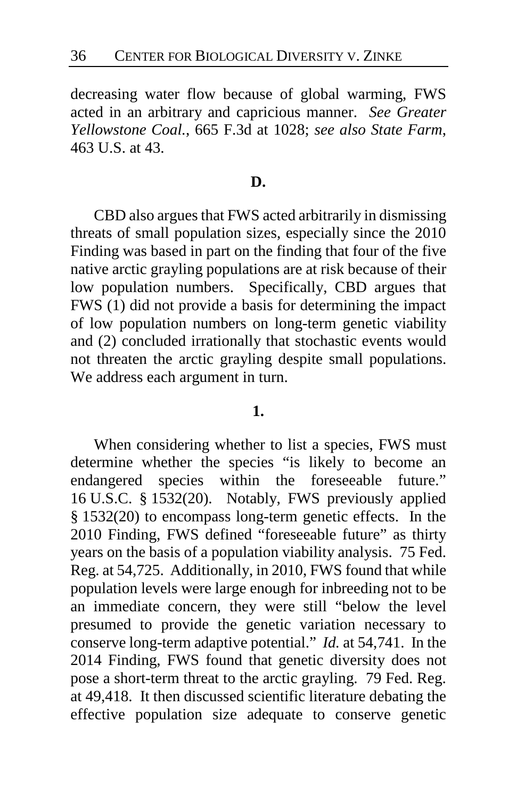decreasing water flow because of global warming, FWS acted in an arbitrary and capricious manner. *See Greater Yellowstone Coal.*, 665 F.3d at 1028; *see also State Farm*, 463 U.S. at 43.

#### **D.**

CBD also argues that FWS acted arbitrarily in dismissing threats of small population sizes, especially since the 2010 Finding was based in part on the finding that four of the five native arctic grayling populations are at risk because of their low population numbers. Specifically, CBD argues that FWS (1) did not provide a basis for determining the impact of low population numbers on long-term genetic viability and (2) concluded irrationally that stochastic events would not threaten the arctic grayling despite small populations. We address each argument in turn.

### **1.**

When considering whether to list a species, FWS must determine whether the species "is likely to become an endangered species within the foreseeable future." 16 U.S.C. § 1532(20). Notably, FWS previously applied § 1532(20) to encompass long-term genetic effects. In the 2010 Finding, FWS defined "foreseeable future" as thirty years on the basis of a population viability analysis. 75 Fed. Reg. at 54,725.Additionally, in 2010, FWS found that while population levels were large enough for inbreeding not to be an immediate concern, they were still "below the level presumed to provide the genetic variation necessary to conserve long-term adaptive potential." *Id.* at 54,741.In the 2014 Finding, FWS found that genetic diversity does not pose a short-term threat to the arctic grayling. 79 Fed. Reg. at 49,418.It then discussed scientific literature debating the effective population size adequate to conserve genetic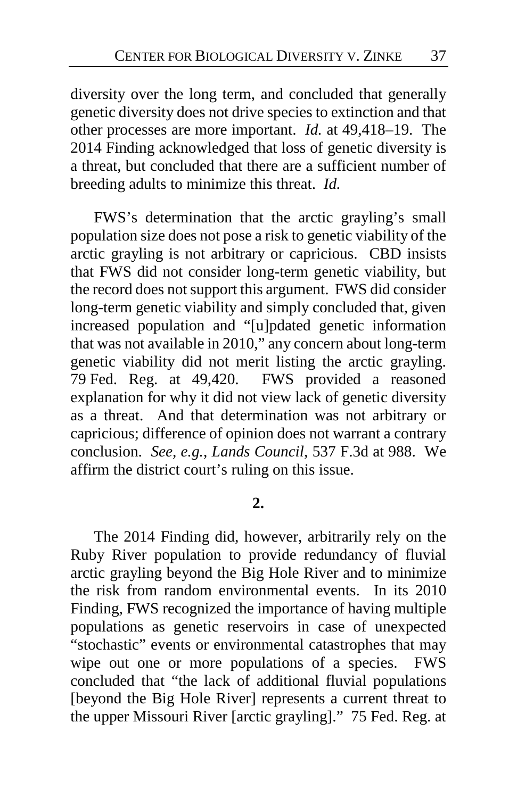diversity over the long term, and concluded that generally genetic diversity does not drive species to extinction and that other processes are more important.*Id.* at 49,418–19. The 2014 Finding acknowledged that loss of genetic diversity is a threat, but concluded that there are a sufficient number of breeding adults to minimize this threat. *Id.*

FWS's determination that the arctic grayling's small population size does not pose a risk to genetic viability of the arctic grayling is not arbitrary or capricious. CBD insists that FWS did not consider long-term genetic viability, but the record does not support this argument. FWS did consider long-term genetic viability and simply concluded that, given increased population and "[u]pdated genetic information that was not available in 2010," any concern about long-term genetic viability did not merit listing the arctic grayling. 79 Fed. Reg. at 49,420.FWS provided a reasoned explanation for why it did not view lack of genetic diversity as a threat. And that determination was not arbitrary or capricious; difference of opinion does not warrant a contrary conclusion. *See, e.g.*, *Lands Council*, 537 F.3d at 988. We affirm the district court's ruling on this issue.

### **2.**

The 2014 Finding did, however, arbitrarily rely on the Ruby River population to provide redundancy of fluvial arctic grayling beyond the Big Hole River and to minimize the risk from random environmental events. In its 2010 Finding, FWS recognized the importance of having multiple populations as genetic reservoirs in case of unexpected "stochastic" events or environmental catastrophes that may wipe out one or more populations of a species. FWS concluded that "the lack of additional fluvial populations [beyond the Big Hole River] represents a current threat to the upper Missouri River [arctic grayling]." 75 Fed. Reg. at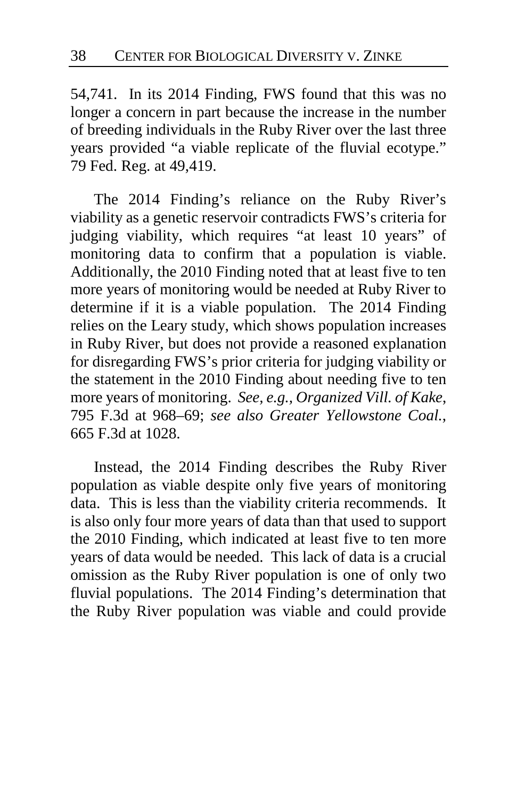54,741.In its 2014 Finding, FWS found that this was no longer a concern in part because the increase in the number of breeding individuals in the Ruby River over the last three years provided "a viable replicate of the fluvial ecotype." 79 Fed. Reg. at 49,419.

The 2014 Finding's reliance on the Ruby River's viability as a genetic reservoir contradicts FWS's criteria for judging viability, which requires "at least 10 years" of monitoring data to confirm that a population is viable. Additionally, the 2010 Finding noted that at least five to ten more years of monitoring would be needed at Ruby River to determine if it is a viable population. The 2014 Finding relies on the Leary study, which shows population increases in Ruby River, but does not provide a reasoned explanation for disregarding FWS's prior criteria for judging viability or the statement in the 2010 Finding about needing five to ten more years of monitoring. *See, e.g., Organized Vill. of Kake*, 795 F.3d at 968–69; *see also Greater Yellowstone Coal.*, 665 F.3d at 1028.

Instead, the 2014 Finding describes the Ruby River population as viable despite only five years of monitoring data. This is less than the viability criteria recommends. It is also only four more years of data than that used to support the 2010 Finding, which indicated at least five to ten more years of data would be needed. This lack of data is a crucial omission as the Ruby River population is one of only two fluvial populations. The 2014 Finding's determination that the Ruby River population was viable and could provide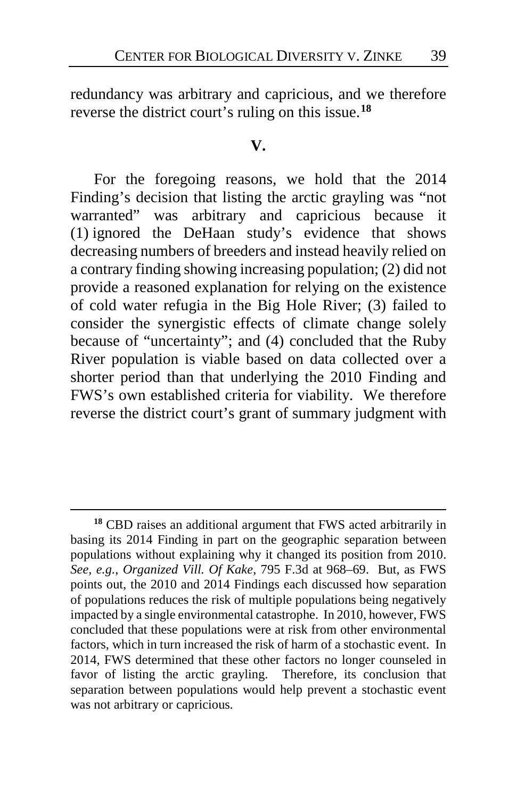redundancy was arbitrary and capricious, and we therefore reverse the district court's ruling on this issue.**[18](#page-38-0)**

#### **V.**

For the foregoing reasons, we hold that the 2014 Finding's decision that listing the arctic grayling was "not warranted" was arbitrary and capricious because it (1) ignored the DeHaan study's evidence that shows decreasing numbers of breeders and instead heavily relied on a contrary finding showing increasing population; (2) did not provide a reasoned explanation for relying on the existence of cold water refugia in the Big Hole River; (3) failed to consider the synergistic effects of climate change solely because of "uncertainty"; and (4) concluded that the Ruby River population is viable based on data collected over a shorter period than that underlying the 2010 Finding and FWS's own established criteria for viability. We therefore reverse the district court's grant of summary judgment with

<span id="page-38-0"></span>**<sup>18</sup>** CBD raises an additional argument that FWS acted arbitrarily in basing its 2014 Finding in part on the geographic separation between populations without explaining why it changed its position from 2010. *See, e.g.*, *Organized Vill. Of Kake*, 795 F.3d at 968–69.But, as FWS points out, the 2010 and 2014 Findings each discussed how separation of populations reduces the risk of multiple populations being negatively impacted by a single environmental catastrophe.In 2010, however, FWS concluded that these populations were at risk from other environmental factors, which in turn increased the risk of harm of a stochastic event.In 2014, FWS determined that these other factors no longer counseled in favor of listing the arctic grayling. Therefore, its conclusion that separation between populations would help prevent a stochastic event was not arbitrary or capricious.